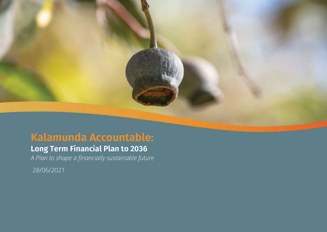# **Kalamunda Accountable:**

# **Long Term Financial Plan to 2036**

*A Plan to shape a financially sustainable future*

28/06/2021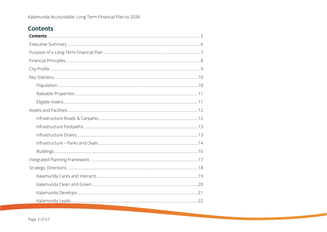### <span id="page-1-0"></span>**Contents**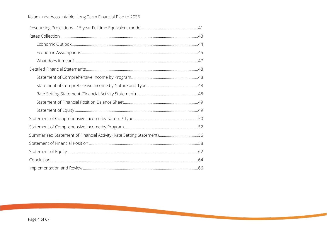| Summarised Statement of Financial Activity (Rate Setting Statement)56 |  |
|-----------------------------------------------------------------------|--|
|                                                                       |  |
|                                                                       |  |
|                                                                       |  |
|                                                                       |  |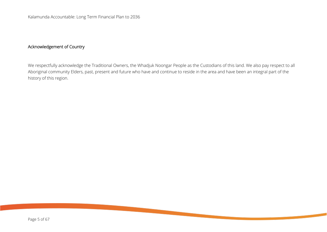### Acknowledgement of Country

We respectfully acknowledge the Traditional Owners, the Whadjuk Noongar People as the Custodians of this land. We also pay respect to all Aboriginal community Elders, past, present and future who have and continue to reside in the area and have been an integral part of the history of this region.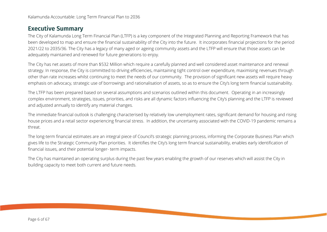### <span id="page-5-0"></span>**Executive Summary**

The City of Kalamunda Long Term Financial Plan (LTFP) is a key component of the Integrated Planning and Reporting Framework that has been developed to map and ensure the financial sustainability of the City into the future. It incorporates financial projections for the period 2021/22 to 2035/36. The City has a legacy of many aged or ageing community assets and the LTFP will ensure that those assets can be adequately maintained and renewed for future generations to enjoy.

The City has net assets of more than \$532 Million which require a carefully planned and well considered asset maintenance and renewal strategy. In response, the City is committed to driving efficiencies, maintaining tight control over expenditure, maximising revenues through other than rate increases whilst continuing to meet the needs of our community. The provision of significant new assets will require heavy emphasis on advocacy, strategic use of borrowings and rationalisation of assets, so as to ensure the City's long term financial sustainability.

The LTFP has been prepared based on several assumptions and scenarios outlined within this document. Operating in an increasingly complex environment, strategies, issues, priorities, and risks are all dynamic factors influencing the City's planning and the LTFP is reviewed and adjusted annually to identify any material changes.

The immediate financial outlook is challenging characterised by relatively low unemployment rates, significant demand for housing and rising house prices and a retail sector experiencing financial stress. In addition, the uncertainty associated with the COVID-19 pandemic remains a threat.

The long-term financial estimates are an integral piece of Council's strategic planning process, informing the Corporate Business Plan which gives life to the Strategic Community Plan priorities. It identifies the City's long term financial sustainability, enables early identification of financial issues, and their potential longer- term impacts.

The City has maintained an operating surplus during the past few years enabling the growth of our reserves which will assist the City in building capacity to meet both current and future needs.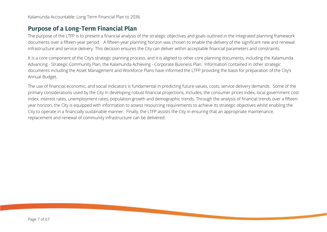### <span id="page-6-0"></span>**Purpose of a Long-Term Financial Plan**

The purpose of the LTFP is to present a financial analysis of the strategic objectives and goals outlined in the integrated planning framework documents over a fifteen-year period. A fifteen-year planning horizon was chosen to enable the delivery of the significant new and renewal infrastructure and service delivery. This decision ensures the City can deliver within acceptable financial parameters and constraints.

It is a core component of the City's strategic planning process, and it is aligned to other core planning documents, including the Kalamunda Advancing - Strategic Community Plan, the Kalamunda Achieving - Corporate Business Plan. Information contained in other strategic documents including the Asset Management and Workforce Plans have informed the LTFP providing the basis for preparation of the City's Annual Budget.

The use of financial, economic, and social indicators is fundamental in predicting future values, costs, service delivery demands. Some of the primary considerations used by the City in developing robust financial projections, includes, the consumer prices index, local government cost index, interest rates, unemployment rates, population growth and demographic trends. Through the analysis of financial trends over a fifteenyear horizon, the City is equipped with information to assess resourcing requirements to achieve its strategic objectives whilst enabling the City to operate in a financially sustainable manner. Finally, the LTFP assists the City in ensuring that an appropriate maintenance, replacement and renewal of community infrastructure can be delivered.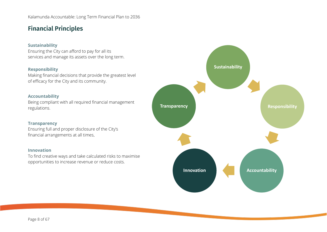### <span id="page-7-0"></span>**Financial Principles**

#### **Sustainability**

Ensuring the City can afford to pay for all its services and manage its assets over the long term.

#### **Responsibility**

Making financial decisions that provide the greatest level of efficacy for the City and its community.

#### **Accountability**

Being compliant with all required financial management regulations.

#### **Transparency**

Ensuring full and proper disclosure of the City's financial arrangements at all times.

#### **Innovation**

To find creative ways and take calculated risks to maximise opportunities to increase revenue or reduce costs.

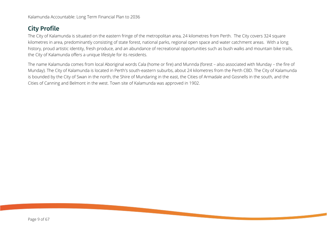### <span id="page-8-0"></span>**City Profile**

The City of Kalamunda is situated on the eastern fringe of the metropolitan area, 24 kilometres from Perth. The City covers 324 square kilometres in area, predominantly consisting of state forest, national parks, regional open space and water catchment areas. With a long history, proud artistic identity, fresh produce, and an abundance of recreational opportunities such as bush walks and mountain bike trails, the City of Kalamunda offers a unique lifestyle for its residents.

The name Kalamunda comes from local Aboriginal words Cala (home or fire) and Munnda (forest – also associated with Munday – the fire of Munday). The City of Kalamunda is located in Perth's south-eastern suburbs, about 24 kilometres from the Perth CBD. The City of Kalamunda is bounded by the City of Swan in the north, the Shire of Mundaring in the east, the Cities of Armadale and Gosnells in the south, and the Cities of Canning and Belmont in the west. Town site of Kalamunda was approved in 1902.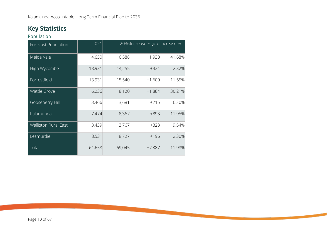## <span id="page-9-0"></span>**Key Statistics**

<span id="page-9-1"></span>Population

| Forecast Population         | 2021   |        | 2036 Increase Figure Increase % |        |
|-----------------------------|--------|--------|---------------------------------|--------|
| Maida Vale                  | 4,650  | 6,588  | $+1,938$                        | 41.68% |
| High Wycombe                | 13,931 | 14,255 | $+324$                          | 2.32%  |
| Forrestfield                | 13,931 | 15,540 | $+1,609$                        | 11.55% |
| <b>Wattle Grove</b>         | 6,236  | 8,120  | $+1,884$                        | 30.21% |
| Gooseberry Hill             | 3,466  | 3,681  | $+215$                          | 6.20%  |
| Kalamunda                   | 7,474  | 8,367  | $+893$                          | 11.95% |
| <b>Walliston Rural East</b> | 3,439  | 3,767  | $+328$                          | 9.54%  |
| Lesmurdie                   | 8,531  | 8,727  | $+196$                          | 2.30%  |
| Total:                      | 61,658 | 69,045 | $+7,387$                        | 11.98% |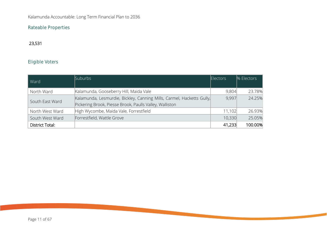### <span id="page-10-0"></span>Rateable Properties

### 23,531

### <span id="page-10-1"></span>Eligible Voters

| Ward            | <b>Suburbs</b>                                                                                                                   | <b>Electors</b> | % Electors |
|-----------------|----------------------------------------------------------------------------------------------------------------------------------|-----------------|------------|
| North Ward      | Kalamunda, Gooseberry Hill, Maida Vale                                                                                           | 9,804           | 23.78%     |
| South East Ward | Kalamunda, Lesmurdie, Bickley, Canning Mills, Carmel, Hacketts Gully,<br>Pickering Brook, Piesse Brook, Paulls Valley, Walliston | 9,997           | 24.25%     |
| North West Ward | High Wycombe, Maida Vale, Forrestfield                                                                                           | 11,102          | 26.93%     |
| South West Ward | Forrestfield, Wattle Grove                                                                                                       | 10,330          | 25.05%     |
| District Total: |                                                                                                                                  | 41,233          | 100.00%    |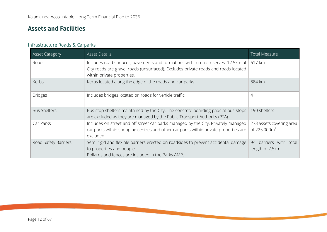### <span id="page-11-0"></span>**Assets and Facilities**

### <span id="page-11-1"></span>Infrastructure Roads & Carparks

| <b>Asset Category</b> | <b>Asset Details</b>                                                                                                                                                                                          | <b>Total Measure</b>                                 |
|-----------------------|---------------------------------------------------------------------------------------------------------------------------------------------------------------------------------------------------------------|------------------------------------------------------|
| Roads                 | Includes road surfaces, pavements and formations within road reserves. 12.5km of   617 km<br>City roads are gravel roads (unsurfaced). Excludes private roads and roads located<br>within private properties. |                                                      |
| Kerbs                 | Kerbs located along the edge of the roads and car parks                                                                                                                                                       | 884 km                                               |
| <b>Bridges</b>        | Includes bridges located on roads for vehicle traffic.                                                                                                                                                        | 4                                                    |
| <b>Bus Shelters</b>   | Bus stop shelters maintained by the City. The concrete boarding pads at bus stops<br>are excluded as they are managed by the Public Transport Authority (PTA)                                                 | 190 shelters                                         |
| Car Parks             | Includes on street and off street car parks managed by the City. Privately managed<br>car parks within shopping centres and other car parks within private properties are<br>excluded.                        | 273 assets covering area<br>of 225,000m <sup>2</sup> |
| Road Safety Barriers  | Semi rigid and flexible barriers erected on roadsides to prevent accidental damage<br>to properties and people.<br>Bollards and fences are included in the Parks AMP.                                         | 94 barriers with total<br>length of 7.5km            |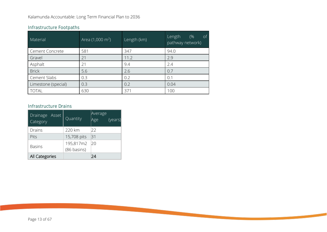| Material            | Area $(1,000 \text{ m}^2)$ | Length (km) | Length<br>(%<br><sub>of</sub><br>pathway network) |
|---------------------|----------------------------|-------------|---------------------------------------------------|
| Cement Concrete     | 581                        | 347         | 94.0                                              |
| Gravel              | 21                         | 11.2        | 2.9                                               |
| Asphalt             | 21                         | 9.4         | 2.4                                               |
| <b>Brick</b>        | 5.6                        | 2.6         | 0.7                                               |
| Cement Slabs        | 0.3                        | 0.2         | 0.1                                               |
| Limestone (special) | 0.3                        | 0.2         | 0.04                                              |
| <b>TOTAL</b>        | 630                        | 371         | 100                                               |

#### <span id="page-12-0"></span>Infrastructure Footpaths

#### <span id="page-12-1"></span>Infrastructure Drains

| Drainage<br>Asset<br>Category | Quantity    | Average<br>Age<br>(years) |
|-------------------------------|-------------|---------------------------|
| Drains                        | 220 km      | 22                        |
| Pits                          | 15,708 pits | 131                       |
| <b>Basins</b>                 | 195,817m2   | 20                        |
|                               | (86 basins) |                           |
| All Categories                |             | 24                        |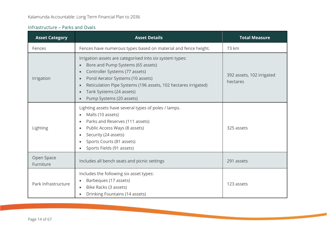### <span id="page-13-0"></span>Infrastructure - Parks and Ovals

| <b>Asset Category</b>   | <b>Asset Details</b>                                                                                                                                                                                                                                                                                                                               | <b>Total Measure</b>                  |
|-------------------------|----------------------------------------------------------------------------------------------------------------------------------------------------------------------------------------------------------------------------------------------------------------------------------------------------------------------------------------------------|---------------------------------------|
| Fences                  | Fences have numerous types based on material and fence height.                                                                                                                                                                                                                                                                                     | 73 km                                 |
| Irrigation              | Irrigation assets are categorised into six system types:<br>Bore and Pump Systems (65 assets)<br>Controller Systems (77 assets)<br>$\bullet$<br>Pond Aerator Systems (10 assets)<br>Reticulation Pipe Systems (196 assets, 102 hectares irrigated)<br>$\bullet$<br>Tank Systems (24 assets)<br>Pump Systems (20 assets)<br>$\qquad \qquad \bullet$ | 392 assets, 102 irrigated<br>hectares |
| Lighting                | Lighting assets have several types of poles / lamps.<br>Malls (10 assets)<br>$\bullet$<br>Parks and Reserves (111 assets)<br>$\bullet$<br>Public Access Ways (8 assets)<br>Security (24 assets)<br>$\bullet$<br>Sports Courts (81 assets)<br>Sports Fields (91 assets)                                                                             | 325 assets                            |
| Open Space<br>Furniture | Includes all bench seats and picnic settings                                                                                                                                                                                                                                                                                                       | 291 assets                            |
| Park Infrastructure     | Includes the following six asset types:<br>Barbeques (17 assets)<br>Bike Racks (3 assets)<br>$\bullet$<br>Drinking Fountains (14 assets)                                                                                                                                                                                                           | 123 assets                            |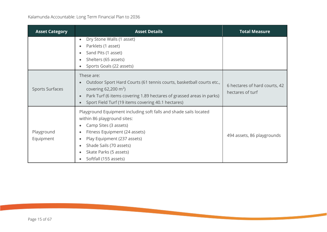| <b>Asset Category</b>   | <b>Asset Details</b>                                                                                                                                                                                                                                                         | <b>Total Measure</b>                              |
|-------------------------|------------------------------------------------------------------------------------------------------------------------------------------------------------------------------------------------------------------------------------------------------------------------------|---------------------------------------------------|
|                         | Dry Stone Walls (1 asset)<br>$\bullet$<br>Parklets (1 asset)<br>Sand Pits (1 asset)<br>Shelters (65 assets)<br>۰<br>Sports Goals (22 assets)                                                                                                                                 |                                                   |
| <b>Sports Surfaces</b>  | These are:<br>Outdoor Sport Hard Courts (61 tennis courts, basketball courts etc.,<br>covering 62,200 $m^2$ )<br>Park Turf (6 items covering 1.89 hectares of grassed areas in parks)<br>Sport Field Turf (19 items covering 40.1 hectares)                                  | 6 hectares of hard courts, 42<br>hectares of turf |
| Playground<br>Equipment | Playground Equipment including soft falls and shade sails located<br>within 86 playground sites:<br>Camp Sites (3 assets)<br>۰<br>Fitness Equipment (24 assets)<br>Play Equipment (237 assets)<br>Shade Sails (70 assets)<br>Skate Parks (5 assets)<br>Softfall (155 assets) | 494 assets, 86 playgrounds                        |

**COLLECTION**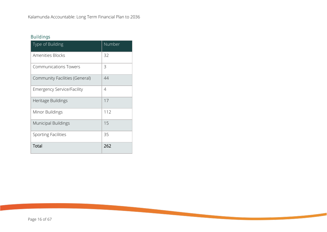### <span id="page-15-0"></span>Buildings

| Type of Building                  | Number |
|-----------------------------------|--------|
| <b>Amenities Blocks</b>           | 32     |
| <b>Communications Towers</b>      | 3      |
| Community Facilities (General)    | 44     |
| <b>Emergency Service/Facility</b> | 4      |
| Heritage Buildings                | 17     |
| Minor Buildings                   | 112    |
| <b>Municipal Buildings</b>        | 15     |
| <b>Sporting Facilities</b>        | 35     |
| Total                             | 262    |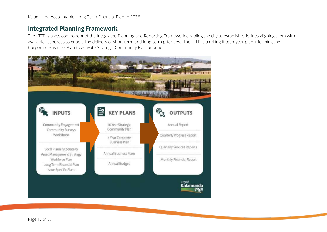### <span id="page-16-0"></span>**Integrated Planning Framework**

The LTFP is a key component of the Integrated Planning and Reporting Framework enabling the city to establish priorities aligning them with available resources to enable the delivery of short term and long-term priorities. The LTFP is a rolling fifteen-year plan informing the Corporate Business Plan to activate Strategic Community Plan priorities.

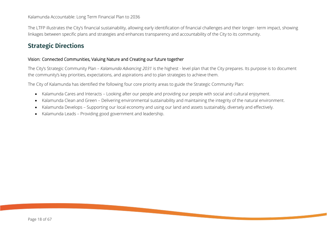The LTFP illustrates the City's financial sustainability, allowing early identification of financial challenges and their longer- term impact, showing linkages between specific plans and strategies and enhances transparency and accountability of the City to its community.

### <span id="page-17-0"></span>**Strategic Directions**

#### Vision: Connected Communities, Valuing Nature and Creating our future together

The City's Strategic Community Plan *– Kalamunda Advancing 2031* is the highest - level plan that the City prepares. Its purpose is to document the community's key priorities, expectations, and aspirations and to plan strategies to achieve them.

The City of Kalamunda has identified the following four core priority areas to guide the Strategic Community Plan:

- Kalamunda Cares and Interacts Looking after our people and providing our people with social and cultural enjoyment.
- Kalamunda Clean and Green Delivering environmental sustainability and maintaining the integrity of the natural environment.
- Kalamunda Develops Supporting our local economy and using our land and assets sustainably, diversely and effectively.
- Kalamunda Leads Providing good government and leadership.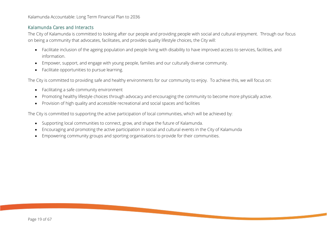#### <span id="page-18-0"></span>Kalamunda Cares and Interacts

The City of Kalamunda is committed to looking after our people and providing people with social and cultural enjoyment. Through our focus on being a community that advocates, facilitates, and provides quality lifestyle choices, the City will:

- Facilitate inclusion of the ageing population and people living with disability to have improved access to services, facilities, and information.
- Empower, support, and engage with young people, families and our culturally diverse community.
- Facilitate opportunities to pursue learning.

The City is committed to providing safe and healthy environments for our community to enjoy. To achieve this, we will focus on:

- Facilitating a safe community environment
- Promoting healthy lifestyle choices through advocacy and encouraging the community to become more physically active.
- Provision of high quality and accessible recreational and social spaces and facilities

The City is committed to supporting the active participation of local communities, which will be achieved by:

- Supporting local communities to connect, grow, and shape the future of Kalamunda.
- Encouraging and promoting the active participation in social and cultural events in the City of Kalamunda
- Empowering community groups and sporting organisations to provide for their communities.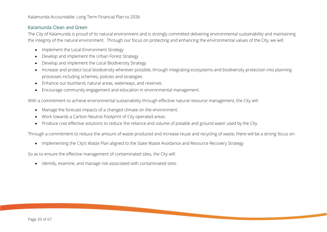#### <span id="page-19-0"></span>Kalamunda Clean and Green

The City of Kalamunda is proud of its natural environment and is strongly committed delivering environmental sustainability and maintaining the integrity of the natural environment. Through our focus on protecting and enhancing the environmental values of the City, we will:

- Implement the Local Environment Strategy
- Develop and implement the Urban Forest Strategy
- Develop and implement the Local Biodiversity Strategy
- Increase and protect local biodiversity wherever possible, through integrating ecosystems and biodiversity protection into planning processes including schemes, policies and strategies
- Enhance our bushland, natural areas, waterways, and reserves.
- Encourage community engagement and education in environmental management.

With a commitment to achieve environmental sustainability through effective natural resource management, the City will:

- Manage the forecast impacts of a changed climate on the environment.
- Work towards a Carbon Neutral Footprint of City operated areas.
- Produce cost effective solutions to reduce the reliance and volume of potable and ground water used by the City.

Through a commitment to reduce the amount of waste produced and increase reuse and recycling of waste, there will be a strong focus on:

• Implementing the City's Waste Plan aligned to the State Waste Avoidance and Resource Recovery Strategy

So as to ensure the effective management of contaminated sites, the City will:

• Identify, examine, and manage risk associated with contaminated sites.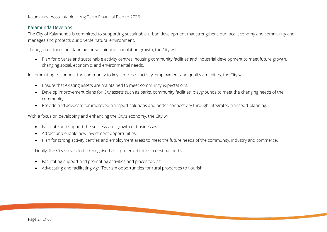#### <span id="page-20-0"></span>Kalamunda Develops

The City of Kalamunda is committed to supporting sustainable urban development that strengthens our local economy and community and manages and protects our diverse natural environment.

Through our focus on planning for sustainable population growth, the City will:

• Plan for diverse and sustainable activity centres, housing community facilities and industrial development to meet future growth, changing social, economic, and environmental needs.

In committing to connect the community to key centres of activity, employment and quality amenities, the City will:

- Ensure that existing assets are maintained to meet community expectations.
- Develop improvement plans for City assets such as parks, community facilities, playgrounds to meet the changing needs of the community.
- Provide and advocate for improved transport solutions and better connectivity through integrated transport planning.

With a focus on developing and enhancing the City's economy, the City will:

- Facilitate and support the success and growth of businesses.
- Attract and enable new investment opportunities.
- Plan for strong activity centres and employment areas to meet the future needs of the community, industry and commerce.

Finally, the City strives to be recognised as a preferred tourism destination by:

- Facilitating support and promoting activities and places to visit
- Advocating and facilitating Agri Tourism opportunities for rural properties to flourish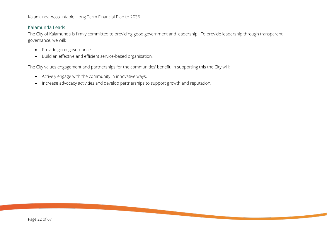#### <span id="page-21-0"></span>Kalamunda Leads

The City of Kalamunda is firmly committed to providing good government and leadership. To provide leadership through transparent governance, we will:

- Provide good governance.
- Build an effective and efficient service-based organisation.

The City values engagement and partnerships for the communities' benefit, in supporting this the City will:

- Actively engage with the community in innovative ways.
- Increase advocacy activities and develop partnerships to support growth and reputation.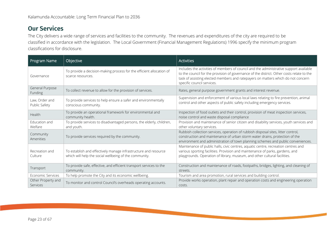### <span id="page-22-0"></span>**Our Services**

The City delivers a wide range of services and facilities to the community. The revenues and expenditures of the city are required to be classified in accordance with the legislation. The Local Government (Financial Management Regulations) 1996 specify the minimum program classifications for disclosure.

| Program Name                    | Objective                                                                                                                 | <b>Activities</b>                                                                                                                                                                                                                                                                                     |
|---------------------------------|---------------------------------------------------------------------------------------------------------------------------|-------------------------------------------------------------------------------------------------------------------------------------------------------------------------------------------------------------------------------------------------------------------------------------------------------|
| Governance                      | To provide a decision-making process for the efficient allocation of<br>scarce resources.                                 | Includes the activities of members of council and the administrative support available<br>to the council for the provision of governance of the district. Other costs relate to the<br>task of assisting elected members and ratepayers on matters which do not concern<br>specific council services. |
| General Purpose<br>Funding      | To collect revenue to allow for the provision of services.                                                                | Rates, general purpose government grants and interest revenue.                                                                                                                                                                                                                                        |
| Law, Order and<br>Public Safety | To provide services to help ensure a safer and environmentally<br>conscious community.                                    | Supervision and enforcement of various local laws relating to fire prevention, animal<br>control and other aspects of public safety including emergency services.                                                                                                                                     |
| Health                          | To provide an operational framework for environmental and<br>community health.                                            | Inspection of food outlets and their control, provision of meat inspection services,<br>noise control and waste disposal compliance                                                                                                                                                                   |
| Education and<br>Welfare        | To provide services to disadvantaged persons, the elderly, children,<br>and youth.                                        | Provision and maintenance of senior citizen and disability services, youth services and<br>other voluntary services.                                                                                                                                                                                  |
| Community<br>Amenities          | To provide services required by the community.                                                                            | Rubbish collection services, operation of rubbish disposal sites, litter control,<br>construction and maintenance of urban storm water drains, protection of the<br>environment and administration of town planning schemes and public conveniences.                                                  |
| Recreation and<br>Culture       | To establish and effectively manage infrastructure and resource<br>which will help the social wellbeing of the community. | Maintenance of public halls, civic centres, aquatic centre, recreation centres and<br>various sporting facilities. Provision and maintenance of parks, gardens, and<br>playgrounds. Operation of library, museum, and other cultural facilities.                                                      |
| Transport                       | To provide safe, effective, and efficient transport services to the<br>community.                                         | Construction and maintenance of roads, footpaths, bridges, lighting, and cleaning of<br>streets.                                                                                                                                                                                                      |
| Economic Services               | To help promote the City and its economic wellbeing.                                                                      | Tourism and area promotion, rural services and building control.                                                                                                                                                                                                                                      |
| Other Property and<br>Services  | To monitor and control Council's overheads operating accounts.                                                            | Provide works operation, plant repair and operation costs and engineering operation<br>costs.                                                                                                                                                                                                         |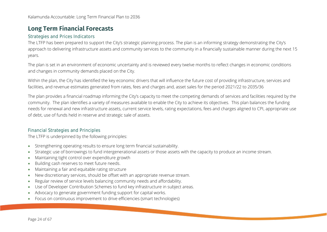### <span id="page-23-0"></span>**Long Term Financial Forecasts**

#### <span id="page-23-1"></span>Strategies and Prices Indicators

The LTFP has been prepared to support the City's strategic planning process. The plan is an informing strategy demonstrating the City's approach to delivering infrastructure assets and community services to the community in a financially sustainable manner during the next 15 years.

The plan is set in an environment of economic uncertainty and is reviewed every twelve months to reflect changes in economic conditions and changes in community demands placed on the City.

Within the plan, the City has identified the key economic drivers that will influence the future cost of providing infrastructure, services and facilities, and revenue estimates generated from rates, fees and charges and, asset sales for the period 2021/22 to 2035/36

The plan provides a financial roadmap informing the City's capacity to meet the competing demands of services and facilities required by the community. The plan identifies a variety of measures available to enable the City to achieve its objectives. This plan balances the funding needs for renewal and new infrastructure assets, current service levels, rating expectations, fees and charges aligned to CPI, appropriate use of debt, use of funds held in reserve and strategic sale of assets.

#### <span id="page-23-2"></span>Financial Strategies and Principles

The LTFP is underpinned by the following principles:

- Strengthening operating results to ensure long term financial sustainability.
- Strategic use of borrowings to fund intergenerational assets or those assets with the capacity to produce an income stream.
- Maintaining tight control over expenditure growth
- Building cash reserves to meet future needs.
- Maintaining a fair and equitable rating structure
- New discretionary services, should be offset with an appropriate revenue stream.
- Regular review of service levels balancing community needs and affordability.
- Use of Developer Contribution Schemes to fund key infrastructure in subject areas.
- Advocacy to generate government funding support for capital works.
- Focus on continuous improvement to drive efficiencies (smart technologies)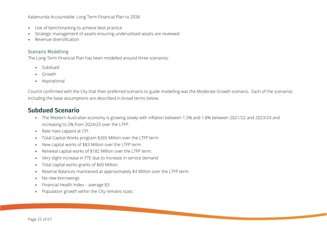- Use of benchmarking to achieve best practice
- Strategic management of assets ensuring underutilised assets are reviewed
- Revenue diversification

#### <span id="page-24-0"></span>Scenario Modelling

The Long-Term Financial Plan has been modelled around three scenarios:

- Subdued
- Growth
- Aspirational

Council confirmed with the City that their preferred scenario to guide modelling was the Moderate Growth scenario. Each of the scenarios including the base assumptions are described in broad terms below.

### <span id="page-24-1"></span>**Subdued Scenario**

- The Western Australian economy is growing slowly with inflation between 1.5% and 1.8% between 2021/22 and 2023/24 and increasing to 2% from 2024/25 over the LTFP.
- Rate rises capped at CPI.
- Total Capital Works program \$265 Million over the LTFP term
- New capital works of \$83 Million over the LTFP term
- Renewal capital works of \$182 Million over the LTFP term.
- Very slight increase in FTE due to increase in service demand
- Total capital works grants of \$60 Million.
- Reserve Balances maintained at approximately \$4 Million over the LTFP term.
- No new borrowings
- Financial Health Index average 83
- Population growth within the City remains static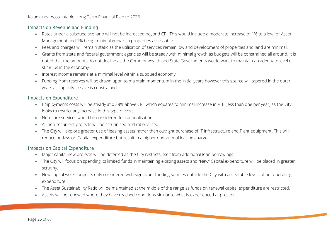#### <span id="page-25-0"></span>Impacts on Revenue and Funding

- Rates under a subdued scenario will not be increased beyond CPI. This would include a moderate increase of 1% to allow for Asset Management and 1% being minimal growth in properties assessable.
- Fees and charges will remain static as the utilisation of services remain low and development of properties and land are minimal.
- Grants from state and federal government agencies will be steady with minimal growth as budgets will be constrained all around. It is noted that the amounts do not decline as the Commonwealth and State Governments would want to maintain an adequate level of stimulus in the economy.
- Interest income remains at a minimal level within a subdued economy.
- Funding from reserves will be drawn upon to maintain momentum in the initial years however this source will tapered in the outer years as capacity to save is constrained.

#### <span id="page-25-1"></span>Impacts on Expenditure

- Employments costs will be steady at 0.38% above CPI, which equates to minimal increase in FTE (less than one per year) as the City looks to restrict any increase in this type of cost.
- Non-core services would be considered for rationalisation.
- All non-recurrent projects will be scrutinised and rationalised.
- The City will explore greater use of leasing assets rather than outright purchase of IT Infrastructure and Plant equipment. This will reduce outlays on Capital expenditure but result in a higher operational leasing charge.

#### <span id="page-25-2"></span>Impacts on Capital Expenditure

- Major capital new projects will be deferred as the City restricts itself from additional loan borrowings.
- The City will focus on spending its limited funds in maintaining existing assets and "New" Capital expenditure will be placed in greater scrutiny.
- New capital works projects only considered with significant funding sources outside the City with acceptable levels of net operating expenditure.
- The Asset Sustainability Ratio will be maintained at the middle of the range as funds on renewal capital expenditure are restricted.
- Assets will be renewed where they have reached conditions similar to what is experienced at present.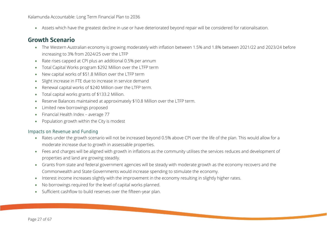• Assets which have the greatest decline in use or have deteriorated beyond repair will be considered for rationalisation.

### <span id="page-26-0"></span>**Growth Scenario**

- The Western Australian economy is growing moderately with inflation between 1.5% and 1.8% between 2021/22 and 2023/24 before increasing to 3% from 2024/25 over the LTFP
- Rate rises capped at CPI plus an additional 0.5% per annum
- Total Capital Works program \$292 Million over the LTFP term
- New capital works of \$51.8 Million over the LTFP term
- Slight increase in FTE due to increase in service demand
- Renewal capital works of \$240 Million over the LTFP term.
- Total capital works grants of \$133.2 Million.
- Reserve Balances maintained at approximately \$10.8 Million over the LTFP term.
- Limited new borrowings proposed
- Financial Health Index average 77
- Population growth within the City is modest

#### <span id="page-26-1"></span>Impacts on Revenue and Funding

- Rates under the growth scenario will not be increased beyond 0.5% above CPI over the life of the plan. This would allow for a moderate increase due to growth in assessable properties.
- Fees and charges will be aligned with growth in inflations as the community utilises the services reduces and development of properties and land are growing steadily.
- Grants from state and federal government agencies will be steady with moderate growth as the economy recovers and the Commonwealth and State Governments would increase spending to stimulate the economy.
- Interest income increases slightly with the improvement in the economy resulting in slightly higher rates.
- No borrowings required for the level of capital works planned.
- Sufficient cashflow to build reserves over the fifteen-year plan.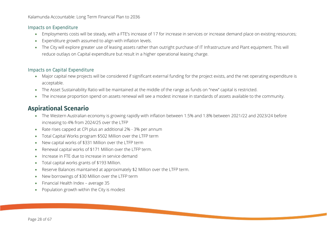#### <span id="page-27-0"></span>Impacts on Expenditure

- Employments costs will be steady, with a FTE's increase of 17 for increase in services or increase demand place on existing resources;
- Expenditure growth assumed to align with inflation levels.
- The City will explore greater use of leasing assets rather than outright purchase of IT Infrastructure and Plant equipment. This will reduce outlays on Capital expenditure but result in a higher operational leasing charge.

#### <span id="page-27-1"></span>Impacts on Capital Expenditure

- Major capital new projects will be considered if significant external funding for the project exists, and the net operating expenditure is acceptable.
- The Asset Sustainability Ratio will be maintained at the middle of the range as funds on "new" capital is restricted.
- The increase proportion spend on assets renewal will see a modest increase in standards of assets available to the community.

### <span id="page-27-2"></span>**Aspirational Scenario**

- The Western Australian economy is growing rapidly with inflation between 1.5% and 1.8% between 2021/22 and 2023/24 before increasing to 4% from 2024/25 over the LTFP
- Rate rises capped at CPI plus an additional 2% 3% per annum
- Total Capital Works program \$502 Million over the LTFP term
- New capital works of \$331 Million over the LTFP term
- Renewal capital works of \$171 Million over the LTFP term.
- Increase in FTE due to increase in service demand
- Total capital works grants of \$193 Million.
- Reserve Balances maintained at approximately \$2 Million over the LTFP term.
- New borrowings of \$30 Million over the LTFP term
- Financial Health Index average 35
- Population growth within the City is modest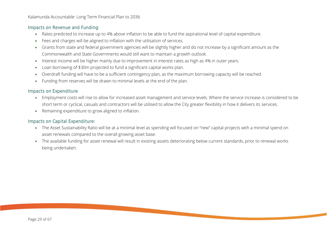#### <span id="page-28-0"></span>Impacts on Revenue and Funding:

- Rates predicted to increase up to 4% above inflation to be able to fund the aspirational level of capital expenditure.
- Fees and charges will be aligned to inflation with the utilisation of services.
- Grants from state and federal government agencies will be slightly higher and do not increase by a significant amount as the Commonwealth and State Governments would still want to maintain a growth outlook.
- Interest income will be higher mainly due to improvement in interest rates as high as 4% in outer years.
- Loan borrowing of \$30m projected to fund a significant capital works plan.
- Overdraft funding will have to be a sufficient contingency plan, as the maximum borrowing capacity will be reached.
- Funding from reserves will be drawn to minimal levels at the end of the plan.

#### <span id="page-28-1"></span>Impacts on Expenditure

- Employment costs will rise to allow for increased asset management and service levels. Where the service increase is considered to be short term or cyclical, casuals and contractors will be utilised to allow the City greater flexibility in how it delivers its services.
- Remaining expenditure to grow aligned to inflation.

#### <span id="page-28-2"></span>Impacts on Capital Expenditure:

- The Asset Sustainability Ratio will be at a minimal level as spending will focused on "new" capital projects with a minimal spend on asset renewals compared to the overall growing asset base.
- The available funding for asset renewal will result in existing assets deteriorating below current standards, prior to renewal works being undertaken.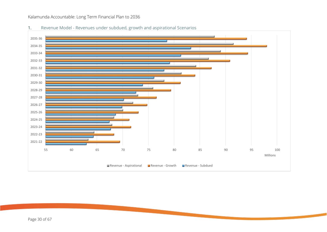

1. Revenue Model - Revenues under subdued, growth and aspirational Scenarios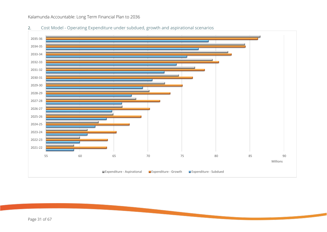- 55 60 65 70 75 80 85 90 2021-22 2022-23 2023-24 2024-25 2025-26 2026-27 2027-28 2028-29 2029-30 2030-31 2031-32 2032-33 2033-34 2034-35 2035-36 Millions **Expenditure - Aspirational** ■ Expenditure - Growth ■ Expenditure - Subdued
- 2. Cost Model Operating Expenditure under subdued, growth and aspirational scenarios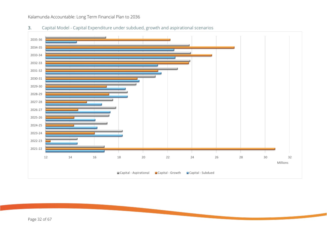

3. Capital Model - Capital Expenditure under subdued, growth and aspirational scenarios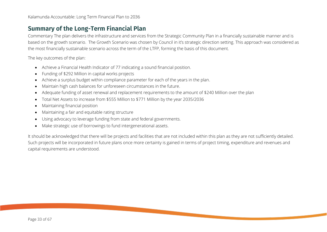### <span id="page-32-0"></span>**Summary of the Long-Term Financial Plan**

Commentary The plan delivers the infrastructure and services from the Strategic Community Plan in a financially sustainable manner and is based on the growth scenario. The Growth Scenario was chosen by Council in it's strategic direction setting. This approach was considered as the most financially sustainable scenario across the term of the LTFP, forming the basis of this document.

The key outcomes of the plan:

- Achieve a Financial Health Indicator of 77 indicating a sound financial position.
- Funding of \$292 Million in capital works projects
- Achieve a surplus budget within compliance parameter for each of the years in the plan.
- Maintain high cash balances for unforeseen circumstances in the future.
- Adequate funding of asset renewal and replacement requirements to the amount of \$240 Million over the plan
- Total Net Assets to increase from \$555 Million to \$771 Million by the year 2035/2036
- Maintaining financial position
- Maintaining a fair and equitable rating structure
- Using advocacy to leverage funding from state and federal governments.
- Make strategic use of borrowings to fund intergenerational assets.

It should be acknowledged that there will be projects and facilities that are not included within this plan as they are not sufficiently detailed. Such projects will be incorporated in future plans once more certainty is gained in terms of project timing, expenditure and revenues and capital requirements are understood.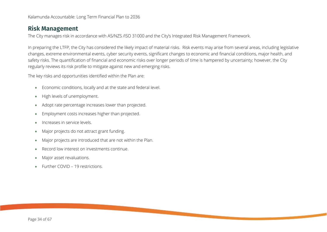### <span id="page-33-0"></span>**Risk Management**

The City manages risk in accordance with AS/NZS /ISO 31000 and the City's Integrated Risk Management Framework.

In preparing the LTFP, the City has considered the likely impact of material risks. Risk events may arise from several areas, including legislative changes, extreme environmental events, cyber security events, significant changes to economic and financial conditions, major health, and safety risks. The quantification of financial and economic risks over longer periods of time is hampered by uncertainty; however, the City regularly reviews its risk profile to mitigate against new and emerging risks.

The key risks and opportunities identified within the Plan are:

- Economic conditions, locally and at the state and federal level.
- High levels of unemployment.
- Adopt rate percentage increases lower than projected.
- Employment costs increases higher than projected.
- Increases in service levels.
- Major projects do not attract grant funding.
- Major projects are introduced that are not within the Plan.
- Record low interest on investments continue.
- Major asset revaluations.
- Further COVID 19 restrictions.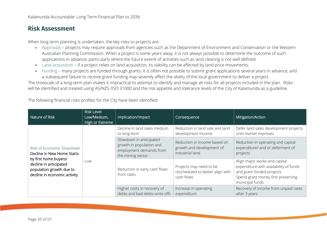### <span id="page-34-0"></span>**Risk Assessment**

When long term planning is undertaken, the key risks to projects are:

- Approvals projects may require approvals from agencies such as the Department of Environment and Conservation or the Western Australian Planning Commission. When a project is some years away, it is not always possible to determine the outcome of such applications in advance, particularly where the future extent of activities such as land clearing is not well defined.
- Land acquisition if a project relies on land acquisition, its viability can be affected by land price movements.
- Funding many projects are funded through grants. It is often not possible to submit grant applications several years in advance, and a subsequent failure to receive grant funding may severely affect the ability of the local government to deliver a project.

The timescale of a long-term plan makes it impractical to attempt to identify and manage all risks for all projects included in the plan. Risks will be identified and treated using AS/NZS /ISO 31000 and the risk appetite and tolerance levels of the City of Kalamunda as a guideline.

The following financial risks profiles for the City have been identified:

| Nature of Risk                                                                                                                                                         | <b>Risk Level</b><br>Low/Medium,<br>High or Extreme | Implication/Impact                                                                                  | Consequence                                                                  | Mitigation/Action                                                                                                                                               |
|------------------------------------------------------------------------------------------------------------------------------------------------------------------------|-----------------------------------------------------|-----------------------------------------------------------------------------------------------------|------------------------------------------------------------------------------|-----------------------------------------------------------------------------------------------------------------------------------------------------------------|
| Risk of Economic Slowdown<br>Decline in New Home Starts<br>by first home buyers/<br>decline in anticipated<br>population growth due to<br>decline in economic activity |                                                     | Decline in land sales medium<br>to long term                                                        | Reduction in land sale and land<br>development Income                        | Defer land sales development projects<br>until market improves                                                                                                  |
|                                                                                                                                                                        | Low                                                 | Slowdown in anticipated<br>growth in population and<br>employment demands from<br>the mining sector | Reduction in income based on<br>growth and development of<br>Industrial land | Reduction in operating and capital<br>expenditure/ and or deferment of<br>projects                                                                              |
|                                                                                                                                                                        |                                                     | Reduction in early cash flows<br>from rates                                                         | Projects may need to be<br>rescheduled to better align with<br>cash flows    | Align major works and capital<br>expenditure with availability of funds<br>and grant funded projects.<br>Spend grant money first preserving<br>municipal funds. |
|                                                                                                                                                                        |                                                     | Higher costs in recovery of<br>debts and bad debts write offs                                       | Increase in operating<br>expenditure                                         | Recovery of income from unpaid rates<br>after 3 years                                                                                                           |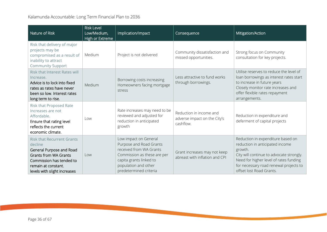| Nature of Risk                                                                                                                                                                              | <b>Risk Level</b><br>Low/Medium,<br>High or Extreme | Implication/Impact                                                                                                                                                                      | Consequence                                                          | Mitigation/Action                                                                                                                                                                                                                           |  |
|---------------------------------------------------------------------------------------------------------------------------------------------------------------------------------------------|-----------------------------------------------------|-----------------------------------------------------------------------------------------------------------------------------------------------------------------------------------------|----------------------------------------------------------------------|---------------------------------------------------------------------------------------------------------------------------------------------------------------------------------------------------------------------------------------------|--|
| Risk that delivery of major<br>projects may be<br>compromised as a result of<br>inability to attract<br><b>Community Support</b>                                                            | Medium                                              | Project is not delivered                                                                                                                                                                | Community dissatisfaction and<br>missed opportunities.               | Strong focus on Community<br>consultation for key projects.                                                                                                                                                                                 |  |
| <b>Risk that Interest Rates will</b><br>Increase.<br>Advice is to lock into fixed<br>rates as rates have never<br>been so low. Interest rates<br>long term to rise.                         | Medium                                              | Borrowing costs increasing<br>Homeowners facing mortgage<br>stress                                                                                                                      | Less attractive to fund works<br>through borrowings.                 | Utilise reserves to reduce the level of<br>loan borrowings as interest rates start<br>to increase in future years<br>Closely monitor rate increases and<br>offer flexible rates repayment<br>arrangements.                                  |  |
| Risk that Proposed Rate<br>Increases are not<br>Affordable.<br>Ensure that rating level<br>reflects the current<br>economic climate.                                                        | Low                                                 | Rate increases may need to be<br>reviewed and adjusted for<br>reduction in anticipated<br>growth                                                                                        | Reduction in income and<br>adverse impact on the City's<br>cashflow. | Reduction in expenditure and<br>deferment of capital projects                                                                                                                                                                               |  |
| <b>Risk that Recurrent Grants</b><br>decline<br>General Purpose and Road<br><b>Grants from WA Grants</b><br>Commission has tended to<br>remain at constant.<br>levels with slight increases | Low                                                 | Low impact on General<br>Purpose and Road Grants<br>received from WA Grants<br>Commission as these are per<br>capita grants linked to<br>population and other<br>predetermined criteria | Grant increases may not keep<br>abreast with inflation and CPI       | Reduction in expenditure based on<br>reduction in anticipated income<br>growth.<br>City will continue to advocate strongly.<br>Need for higher level of rates funding<br>for necessary road renewal projects to<br>offset lost Road Grants. |  |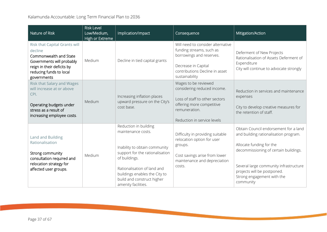| Nature of Risk                                                                                                                                                          | <b>Risk Level</b><br>Low/Medium,<br>High or Extreme | Implication/Impact                                                                                                                                                                                                                                    | Consequence                                                                                                                                                          | Mitigation/Action                                                                                                                                                                                                                                                       |
|-------------------------------------------------------------------------------------------------------------------------------------------------------------------------|-----------------------------------------------------|-------------------------------------------------------------------------------------------------------------------------------------------------------------------------------------------------------------------------------------------------------|----------------------------------------------------------------------------------------------------------------------------------------------------------------------|-------------------------------------------------------------------------------------------------------------------------------------------------------------------------------------------------------------------------------------------------------------------------|
| Risk that Capital Grants will<br>decline<br>Commonwealth and State<br>Governments will probably<br>reign in their deficits by<br>reducing funds to local<br>governments | Medium                                              | Decline in tied capital grants                                                                                                                                                                                                                        | Will need to consider alternative<br>funding streams, such as<br>borrowings and reserves.<br>Decrease in Capital<br>contributions Decline in asset<br>sustainability | Deferment of New Projects<br>Rationalisation of Assets Deferment of<br>Expenditure<br>City will continue to advocate strongly                                                                                                                                           |
| <b>Risk that Salary and Wages</b><br>will increase at or above<br>CPI.<br>Operating budgets under<br>stress as a result of<br>increasing employee costs.                | Medium                                              | Increasing inflation places<br>upward pressure on the City's<br>cost base.                                                                                                                                                                            | Wages to be reviewed<br>considering reduced income.<br>Loss of staff to other sectors<br>offering more competitive<br>remuneration.<br>Reduction in service levels   | Reduction in services and maintenance<br>expenses<br>City to develop creative measures for<br>the retention of staff.                                                                                                                                                   |
| Land and Building<br>Rationalisation<br>Strong community<br>consultation required and<br>relocation strategy for<br>affected user groups.                               | Medium                                              | Reduction in building<br>maintenance costs.<br>Inability to obtain community<br>support for the rationalisation<br>of buildings.<br>Rationalisation of land and<br>buildings enables the City to<br>build and construct higher<br>amenity facilities. | Difficulty in providing suitable<br>relocation option for user<br>groups.<br>Cost savings arise from lower<br>maintenance and depreciation<br>costs.                 | Obtain Council endorsement for a land<br>and building rationalisation program.<br>Allocate funding for the<br>decommissioning of certain buildings.<br>Several large community infrastructure<br>projects will be postponed.<br>Strong engagement with the<br>community |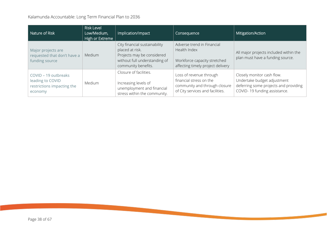| Nature of Risk                                                                    | <b>Risk Level</b><br>Low/Medium,<br>High or Extreme | Implication/Impact                                                                                                                     | Consequence                                                                                                             | Mitigation/Action                                                                                                                  |
|-----------------------------------------------------------------------------------|-----------------------------------------------------|----------------------------------------------------------------------------------------------------------------------------------------|-------------------------------------------------------------------------------------------------------------------------|------------------------------------------------------------------------------------------------------------------------------------|
| Major projects are<br>requested that don't have a<br>funding source               | Medium                                              | City financial sustainability<br>placed at risk.<br>Projects may be considered<br>without full understanding of<br>community benefits. | Adverse trend in Financial<br>Health Index<br>Workforce capacity stretched<br>affecting timely project delivery         | All major projects included within the<br>plan must have a funding source.                                                         |
| COVID - 19 outbreaks<br>leading to COVID<br>restrictions impacting the<br>economy | <b>Medium</b>                                       | Closure of facilities.<br>Increasing levels of<br>unemployment and financial<br>stress within the community.                           | Loss of revenue through<br>financial stress on the<br>community and through closure<br>of City services and facilities. | Closely monitor cash flow.<br>Undertake budget adjustment<br>deferring some projects and providing<br>COVID-19 funding assistance. |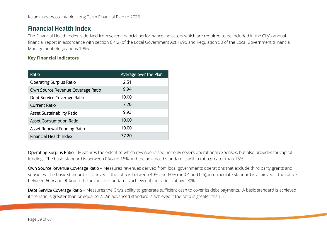### <span id="page-38-0"></span>**Financial Health Index**

The Financial Health Index is derived from seven financial performance indicators which are required to be included in the City's annual financial report in accordance with section 6.4(2) of the Local Government Act 1995 and Regulation 50 of the Local Government (Financial Management) Regulations 1996.

#### **Key Financial Indicators**

| Ratio                             | Average over the Plan |
|-----------------------------------|-----------------------|
| <b>Operating Surplus Ratio</b>    | 2.51                  |
| Own Source Revenue Coverage Ratio | 9.94                  |
| Debt Service Coverage Ratio       | 10.00                 |
| <b>Current Ratio</b>              | 7.20                  |
| <b>Asset Sustainability Ratio</b> | 9.93                  |
| <b>Asset Consumption Ratio</b>    | 10.00                 |
| Asset Renewal Funding Ratio       | 10.00                 |
| Financial Health Index            | 77.20                 |

Operating Surplus Ratio – Measures the extent to which revenue raised not only covers operational expenses, but also provides for capital funding. The basic standard is between 0% and 15% and the advanced standard is with a ratio greater than 15%.

Own Source Revenue Coverage Ratio – Measures revenues derived from local governments operations that exclude third party grants and subsidies. The basic standard is achieved if the ratio is between 40% and 60% (or 0.4 and 0.6), intermediate standard is achieved if the ratio is between 60% and 90% and the advanced standard is achieved if the ratio is above 90%.

Debt Service Coverage Ratio - Measures the City's ability to generate sufficient cash to cover its debt payments. A basic standard is achieved if the ratio is greater than or equal to 2. An advanced standard is achieved if the ratio is greater than 5.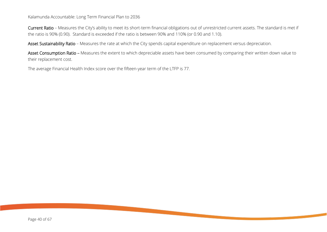Current Ratio – Measures the City's ability to meet its short-term financial obligations out of unrestricted current assets. The standard is met if the ratio is 90% (0.90). Standard is exceeded if the ratio is between 90% and 110% (or 0.90 and 1.10).

Asset Sustainability Ratio - Measures the rate at which the City spends capital expenditure on replacement versus depreciation.

Asset Consumption Ratio – Measures the extent to which depreciable assets have been consumed by comparing their written down value to their replacement cost.

The average Financial Health Index score over the fifteen-year term of the LTFP is 77.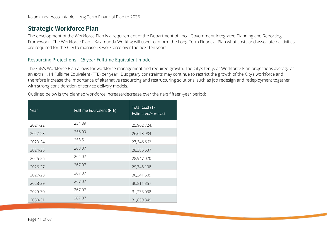### <span id="page-40-0"></span>**Strategic Workforce Plan**

The development of the Workforce Plan is a requirement of the Department of Local Government Integrated Planning and Reporting Framework. The Workforce Plan – Kalamunda Working will used to inform the Long-Term Financial Plan what costs and associated activities are required for the City to manage its workforce over the next ten years.

#### <span id="page-40-1"></span>Resourcing Projections - 15 year Fulltime Equivalent model

The City's Workforce Plan allows for workforce management and required growth. The City's ten-year Workforce Plan projections average at an extra 1.14 Fulltime Equivalent (FTE) per year. Budgetary constraints may continue to restrict the growth of the City's workforce and therefore increase the importance of alternative resourcing and restructuring solutions, such as job redesign and redeployment together with strong consideration of service delivery models.

Outlined below is the planned workforce increase/decrease over the next fifteen-year period:

| Year    | Fulltime Equivalent (FTE) | Total Cost (\$)<br>Estimated/Forecast |
|---------|---------------------------|---------------------------------------|
| 2021-22 | 254.89                    | 25,962,724.                           |
| 2022-23 | 256.09                    | 26,673,984                            |
| 2023-24 | 258.51                    | 27,346,662                            |
| 2024-25 | 263.07                    | 28,385,637                            |
| 2025-26 | 264.07                    | 28,947,070                            |
| 2026-27 | 267.07                    | 29,748,138                            |
| 2027-28 | 267.07                    | 30,341,509                            |
| 2028-29 | 267.07                    | 30,811,357                            |
| 2029-30 | 267.07                    | 31,233,038                            |
| 2030-31 | 267.07                    | 31,639,849                            |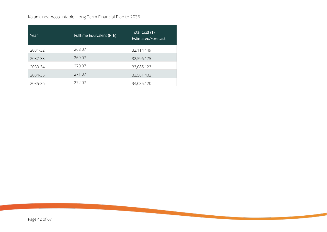| Year    | Fulltime Equivalent (FTE) | Total Cost (\$)<br>Estimated/Forecast |
|---------|---------------------------|---------------------------------------|
| 2031-32 | 268.07                    | 32,114,449                            |
| 2032-33 | 269.07                    | 32,596,175                            |
| 2033-34 | 270.07                    | 33,085,123                            |
| 2034-35 | 271.07                    | 33,581,403                            |
| 2035-36 | 272.07                    | 34,085,120                            |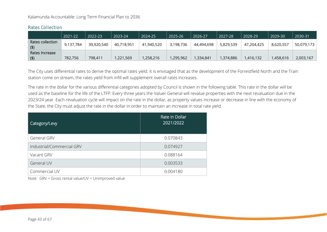|                         | 2021-22   | 2022-23    | 2023-24    | 2024-25    | 2025-26   | 2026-27    | 2027-28   | 2028-29    | 2029-30   | 2030-31    |
|-------------------------|-----------|------------|------------|------------|-----------|------------|-----------|------------|-----------|------------|
| Rates collection<br>(5) | 9,137,784 | 39,920,540 | 40,718,951 | 41,940,520 | 3,198,736 | 44,494,698 | 5,829,539 | 47,204,425 | 8,620,557 | 50,079,173 |
| Rates Increase          |           |            |            |            |           |            |           |            |           |            |
| (5)                     | 782,756   | 798,411    | 1,221,569  | 1,258,216  | ,295,962  | ,334,841   | 1,374,886 | 1,416,132  | ,458,616  | 2,003,167  |

#### <span id="page-42-0"></span>Rates Collection

The City uses differential rates to derive the optimal rates yield. It is envisaged that as the development of the Forrestfield North and the Train station come on stream, the rates yield from infill will supplement overall rates increases.

The rate in the dollar for the various differential categories adopted by Council is shown in the following table. This rate in the dollar will be used as the baseline for the life of the LTFP. Every three years the Valuer General will revalue properties with the next revaluation due in the 2023/24 year. Each revaluation cycle will impact on the rate in the dollar, as property values increase or decrease in line with the economy of the State, the City must adjust the rate in the dollar in order to maintain an increase in total rate yield.

| Category/Levy             | Rate in Dollar<br>2021/2022 |
|---------------------------|-----------------------------|
| <b>General GRV</b>        | 0.070843                    |
| Industrial/Commercial GRV | 0.074927                    |
| Vacant GRV                | 0.088164                    |
| General UV                | 0.003533                    |
| Commercial UV             | 0.004180                    |

Note: GRV = Gross rental value/UV = Unimproved value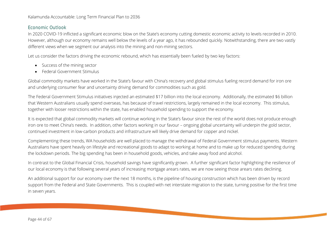#### <span id="page-43-0"></span>Economic Outlook

In 2020 COVID-19 inflicted a significant economic blow on the State's economy cutting domestic economic activity to levels recorded in 2010. However, although our economy remains well below the levels of a year ago, it has rebounded quickly. Notwithstanding, there are two vastly different views when we segment our analysis into the mining and non-mining sectors.

Let us consider the factors driving the economic rebound, which has essentially been fueled by two key factors:

- Success of the mining sector
- Federal Government Stimulus

Global commodity markets have worked in the State's favour with China's recovery and global stimulus fueling record demand for iron ore and underlying consumer fear and uncertainty driving demand for commodities such as gold.

The Federal Government Stimulus initiatives injected an estimated \$17 billion into the local economy. Additionally, the estimated \$6 billion that Western Australians usually spend overseas, has because of travel restrictions, largely remained in the local economy. This stimulus, together with looser restrictions within the state, has enabled household spending to support the economy.

It is expected that global commodity markets will continue working in the State's favour since the rest of the world does not produce enough iron ore to meet China's needs. In addition, other factors working in our favour – ongoing global uncertainty will underpin the gold sector, continued investment in low-carbon products and infrastructure will likely drive demand for copper and nickel.

Complementing these trends, WA households are well placed to manage the withdrawal of Federal Government stimulus payments. Western Australians have spent heavily on lifestyle and recreational goods to adapt to working at home and to make up for reduced spending during the lockdown periods. The big spending has been in household goods, vehicles, and take away food and alcohol.

In contrast to the Global Financial Crisis, household savings have significantly grown. A further significant factor highlighting the resilience of our local economy is that following several years of increasing mortgage arears rates, we are now seeing those arears rates declining.

An additional support for our economy over the next 18 months, is the pipeline of housing construction which has been driven by record support from the Federal and State Governments. This is coupled with net interstate migration to the state, turning positive for the first time in seven years.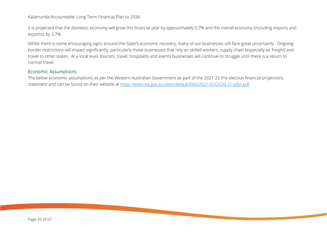It is projected that the domestic economy will grow this financial year by approximately 0.7% and the overall economy (including imports and exports), by 2.7%.

Whilst there is some encouraging signs around the State's economic recovery, many of our businesses still face great uncertainty. Ongoing border restrictions will impact significantly, particularly those businesses that rely on skilled workers, supply chain (especially air freight) and travel to other states. At a local level, tourism, travel, hospitality and events businesses will continue to struggle until there is a return to normal travel.

#### <span id="page-44-0"></span>Economic Assumptions

The below economic assumptions as per the Western Australian Government as part of the 2021-22 Pre-election financial projections statement and can be found on their website at <https://www.wa.gov.au/sites/default/files/2021-02/2020-21-pfps.pdf>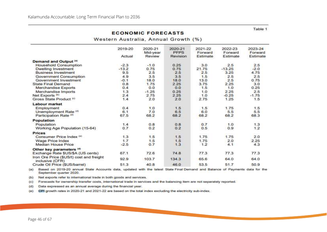#### **ECONOMIC FORECASTS**

Western Australia, Annual Growth (%)

|                                                             | 2019-20 | 2020-21<br>Mid-year | 2020-21<br><b>PFPS</b> | 2021-22<br>Forward | 2022-23<br>Forward | 2023-24<br>Forward |
|-------------------------------------------------------------|---------|---------------------|------------------------|--------------------|--------------------|--------------------|
|                                                             | Actual  | Review              | Revision               | Estimate           | Estimate           | Estimate           |
| Demand and Output <sup>(a)</sup>                            |         |                     |                        |                    |                    |                    |
| <b>Household Consumption</b>                                | $-2.3$  | $-1.0$              | 0.25                   | 3.0                | 2.5                | 2.5                |
| Dwelling Investment                                         | $-13.2$ | 0.75                | 0.75                   | 21.75              | $-13.25$           | $-2.0$             |
| <b>Business Investment</b>                                  | 9.5     | 2.5                 | 2.5                    | 2.5                | 3.25               | 4.75               |
| Government Consumption                                      | 49      | 3.5                 | 3.5                    | 1.5                | 2.5                | 2.5                |
| Government Investment                                       | $-0.1$  | 18.0                | 18.0                   | 13.0               | 2.5                | 0.75               |
| <b>State Final Demand</b>                                   | 0.8     | 1.75                | 2.25                   | 3.75               | 2.25               | 3.0                |
| Merchandise Exports                                         | 0.4     | 0.0                 | 0.0                    | 1.5                | 1.0                | 0.25               |
| Merchandise Imports                                         | 1.3     | $-1.25$             | 0.25                   | 1.0                | 2.25               | 2.5                |
| Net Exports <sup>(b)</sup>                                  | 2.4     | 2.75                | 2.25                   | 1.0                | $-0.25$            | $-1.75$            |
| Gross State Product <sup>(c)</sup>                          | 1.4     | 2.0                 | 2.0                    | 2.75               | 1.25               | 1.5                |
| Labour market                                               |         |                     |                        |                    |                    |                    |
| Employment                                                  | 0.4     | 1.0                 | 1.5                    | 1.5                | 1.75               | 1.5                |
| Unemployment Rate (d)                                       | 6.1     | 7.0                 | 6.5                    | 6.0                | 5.5                | 5.5                |
| Participation Rate (d)                                      | 67.5    | 68.2                | 68.2                   | 68.2               | 68.2               | 68.3               |
| Population                                                  |         |                     |                        |                    |                    |                    |
| Population                                                  | 1.4     | 0.8                 | 0.8                    | 0.7                | 1.0                | 1.3                |
| Working Age Population (15-64)                              | 0.7     | 0.2                 | 0.2                    | 0.5                | 0.9                | 1.2                |
| <b>Prices</b>                                               |         |                     |                        |                    |                    |                    |
| Consumer Price Index <sup>(a)</sup>                         | 1.3     | 1.5                 | 1.5                    | 1.75               | 1.75               | 2.0                |
| Wage Price Index                                            | 1.7     | 1.5                 | 1.5                    | 1.75               | 2.0                | 2.25               |
| Median House Price                                          | $-2.5$  | 0.7                 | 1.3                    | 1.2                | 4.1                | 4.3                |
| Other key parameters (d)                                    |         |                     |                        |                    |                    |                    |
| Exchange Rate \$US/\$A (US cents)                           | 67.1    | 72.6                | 74.8                   | 77.3               | 77.3               | 77.3               |
| Iron Ore Price (\$US/t) cost and freight<br>inclusive (CFR) | 92.9    | 103.7               | 134.3                  | 65.6               | 64.0               | 64.0               |
| Crude Oil Price (\$US/barrel)                               | 51.3    | 40.8                | 46.0                   | 53.5               | 51.7               | 50.9               |

Based on 2019-20 annual State Accounts data, updated with the latest State Final Demand and Balance of Payments data for the  $(a)$ September quarter 2020.

Net exports refer to international trade in both goods and services.  $(b)$ 

(c) Forecasts for ownership transfer costs, international trade in services and the balancing item are not separately reported.

 $(d)$ Data expressed as an annual average during the financial year.

CPI growth rates in 2020-21 and 2021-22 are based on the total index excluding the electricity sub-index.  $(e)$ 

Table 1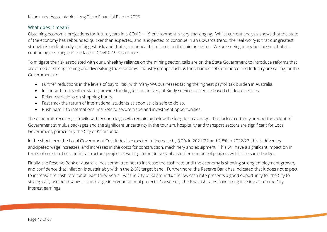#### <span id="page-46-0"></span>What does it mean?

Obtaining economic projections for future years in a COVID – 19 environment is very challenging. Whilst current analysis shows that the state of the economy has rebounded quicker than expected, and is expected to continue in an upwards trend, the real worry is that our greatest strength is undoubtedly our biggest risk; and that is, an unhealthy reliance on the mining sector. We are seeing many businesses that are continuing to struggle in the face of COVID- 19 restrictions.

To mitigate the risk associated with our unhealthy reliance on the mining sector, calls are on the State Government to introduce reforms that are aimed at strengthening and diversifying the economy. Industry groups such as the Chamber of Commerce and Industry are calling for the Government to:

- Further reductions in the levels of payroll tax, with many WA businesses facing the highest payroll tax burden in Australia.
- In line with many other states, provide funding for the delivery of Kindy services to centre-based childcare centres.
- Relax restrictions on shopping hours.
- Fast track the return of international students as soon as it is safe to do so.
- Push hard into international markets to secure trade and investment opportunities.

The economic recovery is fragile with economic growth remaining below the long-term average. The lack of certainty around the extent of Government stimulus packages and the significant uncertainty in the tourism, hospitality and transport sectors are significant for Local Government, particularly the City of Kalamunda.

In the short term the Local Government Cost Index is expected to increase by 3.2% in 2021/22 and 2.8% in 2022/23, this is driven by anticipated wage increases, and increases in the costs for construction, machinery and equipment. This will have a significant impact on in terms of construction and infrastructure projects resulting in the delivery of a smaller number of projects within the same budget.

Finally, the Reserve Bank of Australia, has committed not to increase the cash rate until the economy is showing strong employment growth, and confidence that inflation is sustainably within the 2-3% target band. Furthermore, the Reserve Bank has indicated that it does not expect to increase the cash rate for at least three years. For the City of Kalamunda, the low cash rate presents a good opportunity for the City to strategically use borrowings to fund large intergenerational projects. Conversely, the low cash rates have a negative impact on the City interest earnings.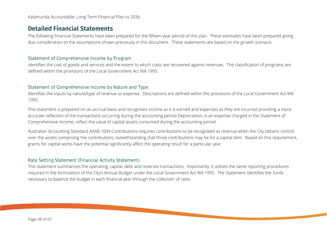### <span id="page-47-0"></span>**Detailed Financial Statements**

The following Financial Statements have been prepared for the fifteen-year period of this plan. These estimates have been prepared giving due consideration to the assumptions shown previously in this document. These statements are based on the growth scenario.

#### <span id="page-47-1"></span>Statement of Comprehensive Income by Program

Identifies the cost of goods and services and the extent to which costs are recovered against revenues. The classification of programs are defined within the provisions of the Local Government Act WA 1995.

#### <span id="page-47-2"></span>Statement of Comprehensive Income by Nature and Type

Identifies the inputs by nature/type of revenue or expense. Descriptions are defined within the provisions of the Local Government Act WA 1995.

This statement is prepared on an accrual basis and recognises income as it is earned and expenses as they are incurred providing a more accurate reflection of the transactions occurring during the accounting period Depreciation, is an expense charged in the Statement of Comprehensive Income, reflect the value of capital assets consumed during the accounting period.

Australian Accounting Standard AASB 1004 Contributions requires contributions to be recognised as revenue when the City obtains control over the assets comprising the contributions, notwithstanding that those contributions may be for a capital item. Based on this requirement, grants for capital works have the potential significantly affect the operating result for a particular year.

#### <span id="page-47-3"></span>Rate Setting Statement (Financial Activity Statement)

This statement summarises the operating, capital, debt and reserves transactions. Importantly, it utilises the same reporting procedures required in the formulation of the City's Annual Budget under the Local Government Act WA 1995. The Statement identifies the funds necessary to balance the budget in each financial year through the collection of rates.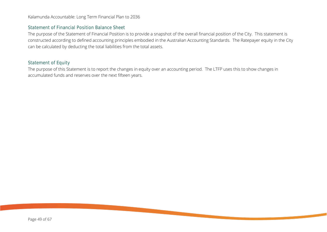#### <span id="page-48-0"></span>Statement of Financial Position Balance Sheet

The purpose of the Statement of Financial Position is to provide a snapshot of the overall financial position of the City. This statement is constructed according to defined accounting principles embodied in the Australian Accounting Standards. The Ratepayer equity in the City can be calculated by deducting the total liabilities from the total assets.

#### <span id="page-48-1"></span>Statement of Equity

The purpose of this Statement is to report the changes in equity over an accounting period. The LTFP uses this to show changes in accumulated funds and reserves over the next fifteen years.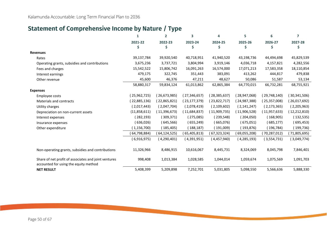### <span id="page-49-0"></span>**Statement of Comprehensive Income by Nature / Type**

|                                                                                               | 1             | $\mathbf{2}$ | 3              | 4              | 5             | 6              | 7              |
|-----------------------------------------------------------------------------------------------|---------------|--------------|----------------|----------------|---------------|----------------|----------------|
|                                                                                               | 2021-22       | 2022-23      | 2023-24        | 2024-25        | 2025-26       | 2026-27        | 2027-28        |
|                                                                                               | \$            | \$           | \$             | Ś              | \$            | Ŝ              | S              |
| <b>Revenues</b>                                                                               |               |              |                |                |               |                |                |
| Rates                                                                                         | 39,137,784    | 39,920,540   | 40,718,951     | 41,940,520     | 43,198,736    | 44,494,698     | 45,829,539     |
| Operating grants, subsidies and contributions                                                 | 3,675,236     | 3,737,721    | 3,804,994      | 3,919,146      | 4,036,718     | 4,157,821      | 4,282,556      |
| Fees and charges                                                                              | 15,542,522    | 15,806,742   | 16,091,263     | 16,574,000     | 17,071,213    | 17,583,358     | 18,110,854     |
| Interest earnings                                                                             | 479,175       | 322,745      | 351,443        | 383,091        | 413,262       | 444,817        | 479,838        |
| Other revenue                                                                                 | 45,600        | 46,376       | 47,211         | 48,627         | 50,086        | 51,587         | 53,134         |
|                                                                                               | 58,880,317    | 59,834,124   | 61,013,862     | 62,865,384     | 64,770,015    | 66,732,281     | 68,755,921     |
| <b>Expenses</b>                                                                               |               |              |                |                |               |                |                |
| Employee costs                                                                                | (25,962,725)  | (26,673,985) | (27, 346, 657) | (28, 385, 637) | (28,947,068)  | (29,748,140)   | (30, 341, 506) |
| <b>Materials and contracts</b>                                                                | (22,885,136)  | (22,865,821) | (23, 177, 379) | (23,822,717)   | (24,987,388)  | (25,357,008)   | (26,017,692)   |
| Utility charges                                                                               | (2,017,443)   | (2,047,704)  | (2,078,419)    | (2,109,602)    | (2, 141, 247) | (2, 173, 365)  | (2,205,963)    |
| Depreciation on non-current assets                                                            | (11,858,611)  | (11,396,673) | (11,684,837)   | (11,909,735)   | (11,906,528)  | (11, 957, 633) | 12,212,810     |
| Interest expenses                                                                             | (282, 193)    | (309, 371)   | (275,085)      | (239,548)      | (204,050)     | (168,905)      | (132, 535)     |
| Insurance expenses                                                                            | 636,026)      | (645,566)    | (655, 249)     | (665,076)      | (675,051)     | (685,177)      | (695, 453)     |
| Other expenditure                                                                             | (1, 156, 700) | 185,405)     | 188,187)       | (191,009)      | (193,876)     | (196, 784)     | (199,736)      |
|                                                                                               | 64,798,884)   | 64,124,525)  | (65, 405, 813) | 67,323,324)    | (69,055,208)  | (70, 287, 012) | 71,805,695)    |
|                                                                                               | (6,916,975)   | (4,290,401)  | (4,391,951)    | (4,457,940)    | (4, 285, 193) | (3,554,731)    | (3,049,774)    |
| Non-operating grants, subsidies and contributions                                             | 11,326,966    | 8,486,915    | 10,616,067     | 8,445,731      | 8,324,069     | 8,045,798      | 7,846,401      |
| Share of net profit of associates and joint ventures<br>accounted for using the equity method | 998,408       | 1,013,384    | 1,028,585      | 1,044,014      | 1,059,674     | 1,075,569      | 1,091,703      |
| <b>NET RESULT</b>                                                                             | 5,408,399     | 5,209,898    | 7,252,701      | 5,031,805      | 5,098,550     | 5,566,636      | 5,888,330      |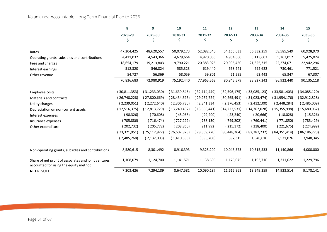|                                                                                               | 8              | 9              | 10             | 11             | 12             | 13             | 14             | 15           |
|-----------------------------------------------------------------------------------------------|----------------|----------------|----------------|----------------|----------------|----------------|----------------|--------------|
|                                                                                               | 2028-29        | 2029-30        | 2030-31        | 2031-32        | 2032-33        | 2033-34        | 2034-35        | 2035-36      |
|                                                                                               |                | Ş.             | S              | S              | S              |                |                | S            |
| Rates                                                                                         | 47,204,425     | 48,620,557     | 50,079,173     | 52,082,340     | 54,165,633     | 56,332,259     | 58,585,549     | 60,928,970   |
| Operating grants, subsidies and contributions                                                 | 4,411,032      | 4,543,366      | 4,679,664      | 4,820,056      | 4,964,660      | 5,113,603      | 5,267,012      | 5,425,024    |
| Fees and charges                                                                              | 18,654,179     | 19,213,803     | 19,790,221     | 20,383,925     | 20,995,450     | 21,625,315     | 22,274,071     | 22,942,296   |
| Interest earnings                                                                             | 512,320        | 546,824        | 585,323        | 619,440        | 658,241        | 692,622        | 730,461        | 771,521      |
| Other revenue                                                                                 | 54,727         | 56,369         | 58,059         | 59,801         | 61,595         | 63,443         | 65,347         | 67,307       |
|                                                                                               | 70,836,683     | 72,980,919     | 75,192,440     | 77,965,562     | 80,845,579     | 83,827,242     | 86,922,440     | 90,135,118   |
|                                                                                               |                |                |                |                |                |                |                |              |
| <b>Employee costs</b>                                                                         | (30,811,353)   | (31, 233, 030) | (31,639,846)   | 32,114,449)    | (32,596,175)   | (33,085,123)   | (33,581,403)   | (34,085,120) |
| Materials and contracts                                                                       | (26, 748, 228) | (27,800,669)   | (28, 434, 695) | (29, 257, 724) | (30, 265, 491) | (31,023,474)   | (31,954,176)   | (32,912,828) |
| Utility charges                                                                               | (2,239,051)    | (2,272,640)    | (2,306,730)    | (2,341,334)    | (2,376,453)    | (2,412,100)    | (2,448,284)    | (2,485,009)  |
| Depreciation on non-current assets                                                            | (12,516,375)   | (12,813,729)   | (13, 240, 402) | (13,666,441)   | (14, 222, 531) | (14, 767, 028) | (15,355,998)   | (15,680,062) |
| Interest expenses                                                                             | (98, 326)      | (70,608)       | (45,068)       | (29,200)       | (23, 240)      | (20,666)       | (18,028)       | (15, 326)    |
| Insurance expenses                                                                            | (705,886)      | (716, 474)     | (727,222)      | (738, 130)     | (749, 202)     | (760, 441)     | (771,850)      | (783, 429)   |
| Other expenditure                                                                             | (202,732)      | (205,772)      | (208, 860)     | (211,992)      | (215, 172)     | (218, 400)     | (221,675)      | (224,999)    |
|                                                                                               | 73,321,951)    | (75,112,922)   | 76,602,823)    | 78,359,270)    | (80, 448, 264) | (82, 287, 232) | (84, 351, 414) | 86,186,773)  |
|                                                                                               | (2,485,268)    | (2, 132, 003)  | (1,410,383)    | (393,708)      | 397,315        | 1,540,010      | 2,571,026      | 3,948,345    |
| Non-operating grants, subsidies and contributions                                             | 8,580,615      | 8,301,492      | 8,916,393      | 9,325,200      | 10,043,573     | 10,515,533     | 11,140,866     | 4,000,000    |
| Share of net profit of associates and joint ventures<br>accounted for using the equity method | 1,108,079      | 1,124,700      | 1,141,571      | 1,158,695      | 1,176,075      | 1,193,716      | 1,211,622      | 1,229,796    |
| <b>NET RESULT</b>                                                                             | 7,203,426      | 7,294,189      | 8,647,581      | 10,090,187     | 11,616,963     | 13,249,259     | 14,923,514     | 9,178,141    |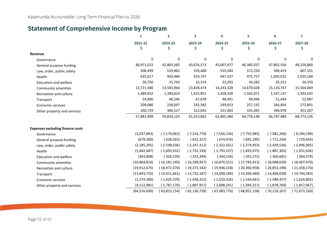### <span id="page-51-0"></span>**Statement of Comprehensive Income by Program**

|                                         | $\mathbf{1}$   | $\overline{2}$ | 3              | 4             | 5              | 6              | 7             |
|-----------------------------------------|----------------|----------------|----------------|---------------|----------------|----------------|---------------|
|                                         | 2021-22<br>Ś   | 2022-23<br>\$  | 2023-24<br>\$  | 2024-25<br>\$ | 2025-26<br>Ś   | 2026-27<br>Ś   | 2027-28<br>\$ |
| Revenue                                 |                |                |                |               |                |                |               |
| Governance                              | 0              | 0              | 0              | 0             | 0              | $\mathbf 0$    | $\Omega$      |
| General purpose funding                 | 40,971,022     | 42,803,382     | 43,676,573     | 45,007,977    | 46,385,027     | 47,802,556     | 49,259,860    |
| Law, order, public safety               | 508,499        | 529,862        | 539,400        | 555,584       | 572,250        | 589,419        | 607,101       |
| Health                                  | 635,617        | 903,484        | 919,747        | 947,337       | 975,757        | 1,005,032      | 1,035,184     |
| <b>Education and welfare</b>            | 30,750         | 31,743         | 32,314         | 33,283        | 34,282         | 35,311         | 36,370        |
| Community amenities                     | 13,721,580     | 13,583,964     | 13,828,474     | 14,243,328    | 14,670,628     | 15,110,747     | 15,564,069    |
| Recreation and culture                  | 1,489,832      | 1,390,819      | 1,415,851      | 1,458,328     | 1,502,071      | 1,547,137      | 1,593,547     |
| Transport                               | 54,800         | 46,246         | 47,078         | 48,491        | 49,946         | 51,444         | 52,987        |
| Economic services                       | 209,080        | 238,097        | 242,382        | 249,653       | 257,142        | 264,856        | 272,801       |
| Other property and services             | 260,729        | 306,527        | 312,043        | 321,403       | 331,045        | 340,978        | 351,207       |
|                                         | 57,881,909     | 59,834,124     | 61,013,862     | 62,865,384    | 64,778,148     | 66,747,480     | 68,773,126    |
| <b>Expenses excluding finance costs</b> |                |                |                |               |                |                |               |
| Governance                              | (3,037,893)    | (7, 170, 062)  | (7,316,770)    | (7, 556, 136) | (7,755,985)    | (7,982,260)    | (8, 194, 199) |
| General purpose funding                 | (679, 300)     | (638, 565)     | (652, 327)     | (674, 476)    | (691, 290)     | (711, 234)     | (729,043)     |
| Law, order, public safety               | (2, 185, 295)  | (2, 198, 636)  | (2, 247, 312)  | (2,322,561)   | (2,374,953)    | (2,439,536)    | (2,496,905)   |
| Health                                  | (1,842,687)    | (1,693,932)    | (1,732,330)    | (1,793,237)   | (1,835,075)    | (1,887,305)    | (1,931,636)   |
| <b>Education and welfare</b>            | (363,808)      | (326, 239)     | (333, 394)     | (344, 134)    | (351,572)      | (360, 681)     | (369, 279)    |
| Community amenities                     | (16,864,816)   | (16, 181, 140) | (16, 398, 957) | (16,870,321)  | (17, 785, 413) | (18,008,639)   | (18,407,470)  |
| Recreation and culture                  | (19, 912, 675) | (18,972,370)   | (19, 371, 182) | (19,946,158)  | (20, 360, 958) | (20,853,198)   | (21,358,176)  |
| Transport                               | (13, 843, 755) | (13,421,661)   | (13,732,187)   | (14,058,186)  | (14, 206, 940) | (14, 408, 028) | (14,744,583)  |
| Economic services                       | (1, 274, 380)  | (1,425,379)    | (1,458,312)    | (1,510,326)   | (1,544,661)    | (1,588,457)    | (1,624,802)   |
| Other property and services             | (4,512,081)    | (1,787,170)    | (1,887,957)    | (2,008,241)   | (1,944,311)    | (1,878,769)    | (1,817,067)   |
|                                         | (64, 516, 690) | 63,815,154)    | 65,130,728)    | 67,083,776)   | 68,851,158)    | 70,118,107)    | 71,673,160    |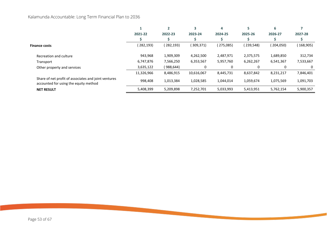|                                                                                               |            |           |            | 4         |            | 6          |            |
|-----------------------------------------------------------------------------------------------|------------|-----------|------------|-----------|------------|------------|------------|
|                                                                                               | 2021-22    | 2022-23   | 2023-24    | 2024-25   | 2025-26    | 2026-27    | 2027-28    |
|                                                                                               |            |           |            |           |            |            |            |
| <b>Finance costs</b>                                                                          | (282, 193) | (282,193) | (309, 371) | (275,085) | (239, 548) | (204, 050) | (168, 905) |
| Recreation and culture                                                                        | 943,968    | 1,909,309 | 4,262,500  | 2,487,971 | 2,375,575  | 1,689,850  | 312,734    |
| Transport                                                                                     | 6,747,876  | 7,566,250 | 6,353,567  | 5,957,760 | 6,262,267  | 6,541,367  | 7,533,667  |
| Other property and services                                                                   | 3,635,122  | (988,644) | 0          | $\Omega$  |            |            | 0          |
|                                                                                               | 11,326,966 | 8,486,915 | 10,616,067 | 8,445,731 | 8,637,842  | 8,231,217  | 7,846,401  |
| Share of net profit of associates and joint ventures<br>accounted for using the equity method | 998.408    | 1,013,384 | 1,028,585  | 1,044,014 | 1,059,674  | 1,075,569  | 1,091,703  |
| <b>NET RESULT</b>                                                                             | 5,408,399  | 5,209,898 | 7,252,701  | 5,033,993 | 5,413,951  | 5,762,154  | 5,900,357  |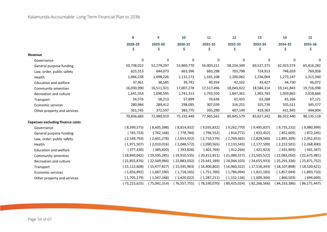|                                         | 8              | 9              | 10           | 11             | 12            | 13            | 14             | 15           |
|-----------------------------------------|----------------|----------------|--------------|----------------|---------------|---------------|----------------|--------------|
|                                         | 2028-29        | 2029-30        | 2030-31      | 2031-32        | 2032-33       | 2033-34       | 2034-35        | 2035-36      |
|                                         | S              | \$             | S            | \$             | Ŝ             | Ŝ             | \$             | Ş.           |
| Revenue                                 |                |                |              |                |               |               |                |              |
| Governance                              | 0              | 0              | 0            | $\Omega$       | 0             | $\mathbf 0$   | n              | O            |
| General purpose funding                 | 50,738,022     | 52,279,297     | 53,869,770   | 56,003,211     | 58,224,349    | 60,527,371    | 62,923,574     | 65,416,282   |
| Law, order, public safety               | 625,313        | 644,073        | 663,396      | 683,298        | 703,798       | 724,913       | 746,659        | 769,058      |
| Health                                  | 1,066,238      | 1,098,226      | 1,131,172    | 1,165,108      | 1,200,062     | 1,236,064     | 1,273,147      | 1,311,340    |
| <b>Education and welfare</b>            | 37,461         | 38,585         | 39,742       | 40,934         | 42,162        | 43,427        | 44,730         | 46,072       |
| Community amenities                     | 16,030,990     | 16,511,921     | 17,007,278   | 17,517,496     | 18,043,022    | 18,584,314    | 19,141,843     | 19,716,098   |
| Recreation and culture                  | 1,641,354      | 1,690,595      | 1,741,313    | 1,793,550      | 1,847,361     | 1,902,783     | 1,959,865      | 2,018,666    |
| Transport                               | 54,576         | 56,213         | 57,899       | 59,636         | 61,425        | 63,268        | 65,166         | 67,121       |
| <b>Economic services</b>                | 280,984        | 289,412        | 298,095      | 307,039        | 316,251       | 325,739       | 335,511        | 345,577      |
| Other property and services             | 361,745        | 372,597        | 383,775      | 395,290        | 407,149       | 419,363       | 431,945        | 444,904      |
|                                         | 70,836,683     | 72,980,919     | 75,192,440   | 77,965,562     | 80,845,579    | 83,827,242    | 86,922,440     | 90,135,118   |
| <b>Expenses excluding finance costs</b> |                |                |              |                |               |               |                |              |
| Governance                              | (8,399,575)    | (8,605,398)    | (8,814,932)  | (9,035,832)    | (9,262,770)   | (9,495,837)   | (9,735,232)    | (9,980,999)  |
| General purpose funding                 | (745, 723)     | (762, 168)     | (778, 784)   | (796, 552)     | (814,772)     | (833, 452)    | (852,605)      | (872, 245)   |
| Law, order, public safety               | (2,549,793)    | (2,601,278)    | (2,653,922)  | (2,710,579)    | (2,769,465)   | (2,829,560)   | (2,891,309)    | (2,952,453)  |
| Health                                  | (1,971,507)    | (2,010,016)    | (2,048,572)  | (2,090,565)    | (2, 133, 543) | (2, 177, 509) | (2,222,501)    | (2,268,490)  |
| <b>Education and welfare</b>            | (377, 430)     | (385, 420)     | (393,828)    | (402,769)      | (412, 264)    | (421, 923)    | (431,903)      | (441,347)    |
| Community amenities                     | (18,849,042)   | (19,595,285)   | (19,910,535) | (20, 412, 811) | (21,089,557)  | (21,505,522)  | (22,083,050)   | (22,675,981) |
| Recreation and culture                  | (21,855,876)   | (22, 349, 984) | 22,883,032)  | (23, 441, 189) | (24,044,103)  | (24,655,933)  | (25, 291, 336) | (25,871,752) |
| Transport                               | (15, 112, 608) | (15, 477, 827) | (15,935,963) | (16,400,802)   | (16,960,322)  | (17,516,343)  | (18, 107, 898) | (18,520,421) |
| <b>Economic services</b>                | (1,656,892)    | (1,687,590)    | (1,718,165)  | (1,751,760)    | (1,786,094)   | (1,821,183)   | (1,857,049)    | (1,893,710)  |
| Other property and services             | (1,705,179)    | (1,567,348)    | (1,420,022)  | (1, 287, 211)  | (1, 152, 134) | (1,009,304)   | (860, 503)     | (694,049)    |
|                                         | (73,223,625)   | (75,042,314)   | 76,557,755)  | (78,330,070)   | 80,425,024)   | 82,266,566)   | (84, 333, 386) | 86,171,447)  |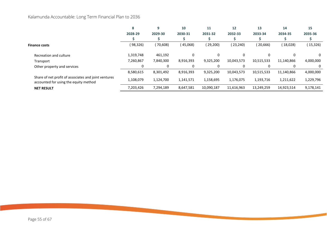|                                                                                               | 8         |           | 10        | 11         | $12 \overline{ }$ | 13         | 14         | 15        |
|-----------------------------------------------------------------------------------------------|-----------|-----------|-----------|------------|-------------------|------------|------------|-----------|
|                                                                                               | 2028-29   | 2029-30   | 2030-31   | 2031-32    | 2032-33           | 2033-34    | 2034-35    | 2035-36   |
|                                                                                               |           |           |           |            |                   |            |            |           |
| <b>Finance costs</b>                                                                          | (98,326)  | (70, 608) | (45,068)  | (29,200)   | (23, 240)         | (20,666)   | 18,028     | (15,326)  |
| Recreation and culture                                                                        | 1,319,748 | 461,192   | 0         | 0          | 0                 |            |            | 0         |
| Transport                                                                                     | 7,260,867 | 7,840,300 | 8,916,393 | 9,325,200  | 10,043,573        | 10,515,533 | 11,140,866 | 4,000,000 |
| Other property and services                                                                   |           | $\Omega$  | 0         |            | 0                 |            |            | 0         |
|                                                                                               | 8,580,615 | 8,301,492 | 8,916,393 | 9,325,200  | 10,043,573        | 10,515,533 | 11,140,866 | 4,000,000 |
| Share of net profit of associates and joint ventures<br>accounted for using the equity method | 1,108,079 | 1,124,700 | 1,141,571 | 1,158,695  | 1,176,075         | 1,193,716  | 1,211,622  | 1,229,796 |
| <b>NET RESULT</b>                                                                             | 7,203,426 | 7,294,189 | 8,647,581 | 10,090,187 | 11,616,963        | 13,249,259 | 14,923,514 | 9,178,141 |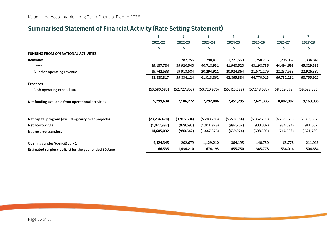### <span id="page-55-0"></span>**Summarised Statement of Financial Activity (Rate Setting Statement)**

|                                                        |                | $\overline{2}$ | 3              | 4              | 5              | 6              | 7              |
|--------------------------------------------------------|----------------|----------------|----------------|----------------|----------------|----------------|----------------|
|                                                        | 2021-22        | 2022-23        | 2023-24        | 2024-25        | 2025-26        | 2026-27        | 2027-28        |
|                                                        | \$             | \$             | \$             | \$             | \$             | S              | \$             |
| <b>FUNDING FROM OPERATIONAL ACTIVITIES</b>             |                |                |                |                |                |                |                |
| <b>Revenues</b>                                        |                | 782,756        | 798,411        | 1,221,569      | 1,258,216      | 1,295,962      | 1,334,841      |
| Rates                                                  | 39,137,784     | 39,920,540     | 40,718,951     | 41,940,520     | 43,198,736     | 44,494,698     | 45,829,539     |
| All other operating revenue                            | 19,742,533     | 19,913,584     | 20,294,911     | 20,924,864     | 21,571,279     | 22,237,583     | 22,926,382     |
|                                                        | 58,880,317     | 59,834,124     | 61,013,862     | 62,865,384     | 64,770,015     | 66,732,281     | 68,755,921     |
| <b>Expenses</b>                                        |                |                |                |                |                |                |                |
| Cash operating expenditure                             | (53, 580, 683) | (52, 727, 852) | (53, 720, 976) | (55, 413, 589) | (57, 148, 680) | (58, 329, 379) | (59, 592, 885) |
| Net funding available from operational activities      | 5,299,634      | 7,106,272      | 7,292,886      | 7,451,795      | 7,621,335      | 8,402,902      | 9,163,036      |
|                                                        |                |                |                |                |                |                |                |
| Net capital program (excluding carry over projects)    | (23, 234, 478) | (3,915,504)    | (5,288,703)    | (5,728,964)    | (5,867,799)    | (6, 283, 978)  | (7, 336, 562)  |
| <b>Net borrowings</b>                                  | (1,027,997)    | (978, 695)     | (1,011,823)    | (992, 202)     | (900, 002)     | (934,094)      | (911,067)      |
| Net reserve transfers                                  | 14,605,032     | (980, 542)     | (1,447,375)    | (639, 074)     | (608, 506)     | (714, 592)     | ( 621,739)     |
| Opening surplus/(deficit) July 1                       | 4,424,345      | 202,679        | 1,129,210      | 364,195        | 140,750        | 65,778         | 211,016        |
| Estimated surplus/(deficit) for the year ended 30 June | 66,535         | 1,434,210      | 674,195        | 455,750        | 385,778        | 536,016        | 504,684        |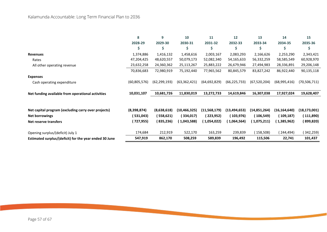|                                                        | 8            | 9              | 10             | 11             | 12             | 13             | 14             | 15             |
|--------------------------------------------------------|--------------|----------------|----------------|----------------|----------------|----------------|----------------|----------------|
|                                                        | 2028-29      | 2029-30        | 2030-31        | 2031-32        | 2032-33        | 2033-34        | 2034-35        | 2035-36        |
|                                                        | S            | \$             |                | S              | S              | Ś              | S              |                |
| <b>Revenues</b>                                        | 1,374,886    | 1,416,132      | 1,458,616      | 2,003,167      | 2,083,293      | 2,166,626      | 2,253,290      | 2,343,421      |
| Rates                                                  | 47,204,425   | 48,620,557     | 50,079,173     | 52,082,340     | 54,165,633     | 56,332,259     | 58,585,549     | 60,928,970     |
| All other operating revenue                            | 23,632,258   | 24,360,362     | 25,113,267     | 25,883,222     | 26,679,946     | 27,494,983     | 28,336,891     | 29,206,148     |
|                                                        | 70,836,683   | 72,980,919     | 75,192,440     | 77,965,562     | 80,845,579     | 83,827,242     | 86,922,440     | 90,135,118     |
| <b>Expenses</b>                                        |              |                |                |                |                |                |                |                |
| Cash operating expenditure                             | (60,805,576) | (62, 299, 193) | (63, 362, 421) | (64,692,829)   | (66, 225, 733) | (67, 520, 204) | (68,995,416)   | (70, 506, 711) |
| Net funding available from operational activities      | 10,031,107   | 10,681,726     | 11,830,019     | 13,272,733     | 14,619,846     | 16,307,038     | 17,927,024     | 19,628,407     |
|                                                        |              |                |                |                |                |                |                |                |
| Net capital program (excluding carry over projects)    | (8,398,874)  | (8,638,618)    | (10,466,325)   | (11, 568, 179) | (13, 494, 653) | (14,851,264)   | (16, 164, 640) | (18, 173, 001) |
| Net borrowings                                         | (531,043)    | (558,621)      | (334, 017)     | (223,952)      | ( 103,976)     | ( 106,549)     | (109,187)      | (111,890)      |
| <b>Net reserve transfers</b>                           | (727, 955)   | (835, 236)     | 1,043,588      | ( 1,054,022)   | (1,064,564)    | (1,075,211)    | ( 1,385,962)   | (899,820)      |
| Opening surplus/(deficit) July 1                       | 174,684      | 212,919        | 522,170        | 163,259        | 239,839        | (158,508)      | 244,494)       | (342, 259)     |
| Estimated surplus/(deficit) for the year ended 30 June | 547,919      | 862,170        | 508,259        | 589,839        | 196,492        | 115,506        | 22,741         | 101,437        |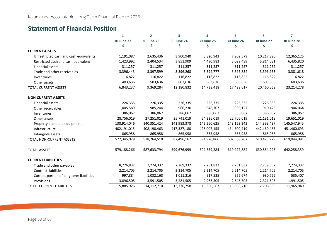### <span id="page-57-0"></span>**Statement of Financial Position**

|                                          | 1                 | $\overline{2}$    | 3                 | 4                 | 5                 | 6                 | $\overline{7}$    |
|------------------------------------------|-------------------|-------------------|-------------------|-------------------|-------------------|-------------------|-------------------|
|                                          | <b>30 June 22</b> | <b>30 June 23</b> | <b>30 June 24</b> | <b>30 June 25</b> | <b>30 June 26</b> | <b>30 June 27</b> | <b>30 June 28</b> |
|                                          | S                 | S                 |                   | \$                | \$                | \$                | S                 |
| <b>CURRENT ASSETS</b>                    |                   |                   |                   |                   |                   |                   |                   |
| Unrestricted cash and cash equivalents   | 1,191,087         | 2,635,436         | 3,900,940         | 5,820,943         | 7,902,579         | 10,217,820        | 12,365,125        |
| Restricted cash and cash equivalent      | 1,423,992         | 2,404,534         | 3,851,909         | 4,490,983         | 5,099,489         | 5,814,081         | 6,435,820         |
| <b>Financial assets</b>                  | 311,257           | 311,257           | 311,257           | 311,257           | 311,257           | 311,257           | 311,257           |
| Trade and other receivables              | 3,396,443         | 3,397,599         | 3,396,268         | 3,394,777         | 3,395,834         | 3,396,953         | 3,381,618         |
| Inventories                              | 116,822           | 116,822           | 116,822           | 116,822           | 116,822           | 116,822           | 116,822           |
| Other assets                             | 403,636           | 503,636           | 603,636           | 603,636           | 603,636           | 603,636           | 603,636           |
| <b>TOTAL CURRENT ASSETS</b>              | 6,843,237         | 9,369,284         | 12,180,832        | 14,738,418        | 17,429,617        | 20,460,569        | 23,214,278        |
| <b>NON-CURRENT ASSETS</b>                |                   |                   |                   |                   |                   |                   |                   |
| <b>Financial assets</b>                  | 226,335           | 226,335           | 226,335           | 226,335           | 226,335           | 226,335           | 226,335           |
| Other receivables                        | 1,005,589         | 985,244           | 966,230           | 948,707           | 930,127           | 910,428           | 906,064           |
| Inventories                              | 386,067           | 386,067           | 386,067           | 386,067           | 386,067           | 386,067           | 386,067           |
| Other assets                             | 28,756,019        | 27,251,019        | 25,741,019        | 24,226,019        | 22,706,019        | 21,181,019        | 19,651,019        |
| Property plant and equipment             | 138,914,046       | 140,351,424       | 141,983,378       | 142,260,625       | 143,153,342       | 144,393,437       | 145,547,945       |
| Infrastructure                           | 402,191,015       | 408,198,463       | 417,327,180       | 426,007,155       | 434,300,419       | 442,460,485       | 451,460,693       |
| Intangible assets                        | 865,958           | 865,958           | 865,958           | 865,958           | 865,958           | 865,958           | 865,958           |
| TOTAL NON-CURRENT ASSETS                 | 572,345,029       | 578,264,510       | 587,496,167       | 594,920,866       | 602,568,267       | 610,423,729       | 619,044,081       |
| <b>TOTAL ASSETS</b>                      | 579,188,266       | 587,633,794       | 599,676,999       | 609,659,284       | 619,997,884       | 630,884,298       | 642,258,359       |
| <b>CURRENT LIABILITIES</b>               |                   |                   |                   |                   |                   |                   |                   |
| Trade and other payables                 | 8,776,832         | 7,274,332         | 7,269,332         | 7,261,832         | 7,251,832         | 7,239,332         | 7,224,332         |
| <b>Contract liabilities</b>              | 2,214,705         | 2,214,705         | 2,214,705         | 2,214,705         | 2,214,705         | 2,214,705         | 2,214,705         |
| Current portion of long-term liabilities | 997,884           | 1,032,168         | 1,011,216         | 917,525           | 952,674           | 930,766           | 535,407           |
| Provisions                               | 3,896,505         | 3,591,505         | 3,281,505         | 2,966,505         | 2,646,505         | 2,321,505         | 1,991,505         |
| <b>TOTAL CURRENT LIABILITIES</b>         | 15,885,926        | 14,112,710        | 13,776,758        | 13,360,567        | 13,065,716        | 12,706,308        | 11,965,949        |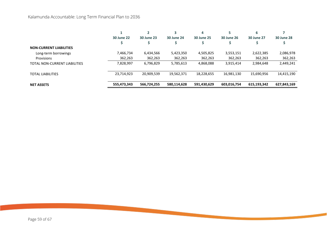|                                |                   |                   |                   | 4                 |                   |                   |                   |
|--------------------------------|-------------------|-------------------|-------------------|-------------------|-------------------|-------------------|-------------------|
|                                | <b>30 June 22</b> | <b>30 June 23</b> | <b>30 June 24</b> | <b>30 June 25</b> | <b>30 June 26</b> | <b>30 June 27</b> | <b>30 June 28</b> |
|                                |                   |                   |                   |                   |                   |                   |                   |
| <b>NON-CURRENT LIABILITIES</b> |                   |                   |                   |                   |                   |                   |                   |
| Long-term borrowings           | 7,466,734         | 6,434,566         | 5,423,350         | 4,505,825         | 3,553,151         | 2,622,385         | 2,086,978         |
| Provisions                     | 362,263           | 362,263           | 362,263           | 362,263           | 362,263           | 362,263           | 362,263           |
| TOTAL NON-CURRENT LIABILITIES  | 7,828,997         | 6,796,829         | 5,785,613         | 4,868,088         | 3,915,414         | 2,984,648         | 2,449,241         |
| <b>TOTAL LIABILITIES</b>       | 23,714,923        | 20,909,539        | 19,562,371        | 18,228,655        | 16,981,130        | 15,690,956        | 14,415,190        |
| <b>NET ASSETS</b>              | 555,473,343       | 566,724,255       | 580,114,628       | 591,430,629       | 603,016,754       | 615,193,342       | 627,843,169       |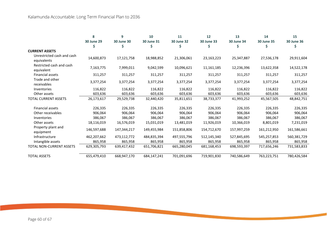|                                           | 8                 | 9                 | 10                | 11                | 12                | 13          | 14                | 15                |
|-------------------------------------------|-------------------|-------------------|-------------------|-------------------|-------------------|-------------|-------------------|-------------------|
|                                           | <b>30 June 29</b> | <b>30 June 30</b> | <b>30 June 31</b> | <b>30 June 32</b> | <b>30 June 33</b> | 30 June 34  | <b>30 June 35</b> | <b>30 June 36</b> |
|                                           |                   |                   |                   | \$                | S                 |             | Ś                 |                   |
| <b>CURRENT ASSETS</b>                     |                   |                   |                   |                   |                   |             |                   |                   |
| Unrestricted cash and cash<br>equivalents | 14,600,873        | 17,121,758        | 18,988,852        | 21,306,061        | 23, 163, 223      | 25,347,887  | 27,536,178        | 29,911,604        |
| Restricted cash and cash<br>equivalent    | 7,163,775         | 7,999,011         | 9,042,599         | 10,096,621        | 11,161,185        | 12,236,396  | 13,622,358        | 14,522,178        |
| Financial assets                          | 311,257           | 311,257           | 311,257           | 311,257           | 311,257           | 311,257     | 311,257           | 311,257           |
| Trade and other<br>receivables            | 3,377,254         | 3,377,254         | 3,377,254         | 3,377,254         | 3,377,254         | 3,377,254   | 3,377,254         | 3,377,254         |
| Inventories                               | 116,822           | 116,822           | 116,822           | 116,822           | 116,822           | 116,822     | 116,822           | 116,822           |
| Other assets                              | 603,636           | 603,636           | 603,636           | 603,636           | 603,636           | 603,636     | 603,636           | 603,636           |
| <b>TOTAL CURRENT ASSETS</b>               | 26,173,617        | 29,529,738        | 32,440,420        | 35,811,651        | 38,733,377        | 41,993,252  | 45,567,505        | 48,842,751        |
| Financial assets                          | 226,335           | 226,335           | 226,335           | 226,335           | 226,335           | 226,335     | 226,335           | 226,335           |
| Other receivables                         | 906,064           | 906,064           | 906,064           | 906,064           | 906,064           | 906,064     | 906,064           | 906,064           |
| Inventories                               | 386,067           | 386,067           | 386,067           | 386,067           | 386,067           | 386,067     | 386,067           | 386,067           |
| Other assets                              | 18,116,019        | 16,576,019        | 15,031,019        | 13,481,019        | 11,926,019        | 10,366,019  | 8,801,019         | 7,231,019         |
| Property plant and<br>equipment           | 146,597,688       | 147,344,217       | 149,455,984       | 151,858,806       | 154,712,670       | 157,997,259 | 161,212,950       | 161,586,661       |
| Infrastructure                            | 462,207,662       | 473,112,772       | 484,835,394       | 497,555,796       | 512,145,340       | 527,845,695 | 545,257,853       | 560,381,729       |
| Intangible assets                         | 865,958           | 865,958           | 865,958           | 865,958           | 865,958           | 865,958     | 865,958           | 865,958           |
| TOTAL NON-CURRENT ASSETS                  | 629,305,793       | 639,417,432       | 651,706,821       | 665,280,045       | 681,168,453       | 698,593,397 | 717,656,246       | 731,583,833       |
| <b>TOTAL ASSETS</b>                       | 655,479,410       | 668,947,170       | 684,147,241       | 701,091,696       | 719,901,830       | 740,586,649 | 763,223,751       | 780,426,584       |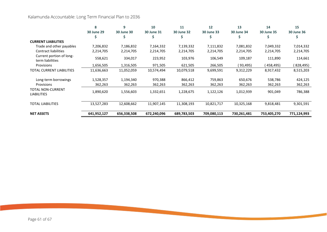|                                              | Я                 | 9                 | 10                | 11                | 12                | 13                | 14                | 15                |
|----------------------------------------------|-------------------|-------------------|-------------------|-------------------|-------------------|-------------------|-------------------|-------------------|
|                                              | <b>30 June 29</b> | <b>30 June 30</b> | <b>30 June 31</b> | <b>30 June 32</b> | <b>30 June 33</b> | <b>30 June 34</b> | <b>30 June 35</b> | <b>30 June 36</b> |
|                                              |                   |                   |                   |                   |                   |                   |                   |                   |
| <b>CURRENT LIABILITIES</b>                   |                   |                   |                   |                   |                   |                   |                   |                   |
| Trade and other payables                     | 7,206,832         | 7,186,832         | 7,164,332         | 7,139,332         | 7,111,832         | 7,081,832         | 7,049,332         | 7,014,332         |
| <b>Contract liabilities</b>                  | 2,214,705         | 2,214,705         | 2,214,705         | 2,214,705         | 2,214,705         | 2,214,705         | 2,214,705         | 2,214,705         |
| Current portion of long-<br>term liabilities | 558,621           | 334,017           | 223,952           | 103,976           | 106,549           | 109,187           | 111,890           | 114,661           |
| Provisions                                   | 1,656,505         | 1,316,505         | 971,505           | 621,505           | 266,505           | (93, 495)         | 458,495)          | 828,495)          |
| TOTAL CURRENT LIABILITIES                    | 11,636,663        | 11,052,059        | 10,574,494        | 10,079,518        | 9,699,591         | 9,312,229         | 8,917,432         | 8,515,203         |
| Long-term borrowings                         | 1,528,357         | 1,194,340         | 970,388           | 866,412           | 759,863           | 650,676           | 538,786           | 424,125           |
| Provisions                                   | 362,263           | 362,263           | 362,263           | 362,263           | 362,263           | 362,263           | 362,263           | 362,263           |
| TOTAL NON-CURRENT<br><b>LIABILITIES</b>      | 1,890,620         | 1,556,603         | 1,332,651         | 1,228,675         | 1,122,126         | 1,012,939         | 901,049           | 786,388           |
| TOTAL LIABILITIES                            | 13,527,283        | 12,608,662        | 11,907,145        | 11,308,193        | 10,821,717        | 10,325,168        | 9,818,481         | 9,301,591         |
| <b>NET ASSETS</b>                            | 641,952,127       | 656,338,508       | 672,240,096       | 689,783,503       | 709,080,113       | 730,261,481       | 753,405,270       | 771,124,993       |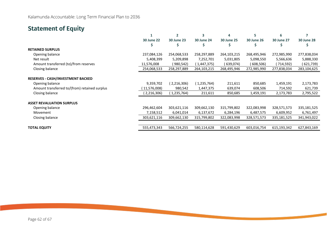### <span id="page-61-0"></span>**Statement of Equity**

|                                               |                   |                   |                   | 4                 | 5                 | հ                 |                   |
|-----------------------------------------------|-------------------|-------------------|-------------------|-------------------|-------------------|-------------------|-------------------|
|                                               | <b>30 June 22</b> | <b>30 June 23</b> | <b>30 June 24</b> | <b>30 June 25</b> | <b>30 June 26</b> | <b>30 June 27</b> | <b>30 June 28</b> |
|                                               |                   | s                 |                   |                   |                   |                   |                   |
| <b>RETAINED SURPLUS</b>                       |                   |                   |                   |                   |                   |                   |                   |
| Opening balance                               | 237,084,126       | 254,068,533       | 258,297,889       | 264,103,215       | 268,495,946       | 272,985,990       | 277,838,034       |
| Net result                                    | 5,408,399         | 5,209,898         | 7,252,701         | 5,031,805         | 5,098,550         | 5,566,636         | 5,888,330         |
| Amount transferred (to)/from reserves         | 11,576,008        | (980,542)         | (1,447,375)       | ( 639,074)        | (608,506)         | (714,592)         | (621,739)         |
| Closing balance                               | 254,068,533       | 258,297,889       | 264,103,215       | 268,495,946       | 272,985,990       | 277,838,034       | 283,104,625       |
| <b>RESERVES - CASH/INVESTMENT BACKED</b>      |                   |                   |                   |                   |                   |                   |                   |
| Opening balance                               | 9,359,702         | (2,216,306)       | (1,235,764)       | 211,611           | 850,685           | 1,459,191         | 2,173,783         |
| Amount transferred to/(from) retained surplus | 11,576,008)       | 980,542           | 1,447,375         | 639,074           | 608,506           | 714,592           | 621,739           |
| Closing balance                               | (2,216,306)       | (1,235,764)       | 211,611           | 850,685           | 1,459,191         | 2,173,783         | 2,795,522         |
| <b>ASSET REVALUATION SURPLUS</b>              |                   |                   |                   |                   |                   |                   |                   |
| Opening balance                               | 296,462,604       | 303,621,116       | 309,662,130       | 315,799,802       | 322,083,998       | 328,571,573       | 335,181,525       |
| Movement                                      | 7,158,512         | 6,041,014         | 6,137,672         | 6,284,196         | 6,487,575         | 6,609,952         | 6,761,497         |
| Closing balance                               | 303,621,116       | 309,662,130       | 315,799,802       | 322,083,998       | 328,571,573       | 335,181,525       | 341,943,022       |
|                                               |                   |                   |                   |                   |                   |                   |                   |
| <b>TOTAL EQUITY</b>                           | 555,473,343       | 566,724,255       | 580,114,628       | 591,430,629       | 603,016,754       | 615,193,342       | 627,843,169       |
|                                               |                   |                   |                   |                   |                   |                   |                   |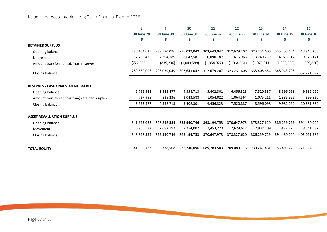|                                               | 8                 | 9                 | 10          | 11                | 12                | 13                | 14                | 15                |
|-----------------------------------------------|-------------------|-------------------|-------------|-------------------|-------------------|-------------------|-------------------|-------------------|
|                                               | <b>30 June 29</b> | <b>30 June 30</b> | 30 June 31  | <b>30 June 32</b> | <b>30 June 33</b> | <b>30 June 34</b> | <b>30 June 35</b> | <b>30 June 36</b> |
|                                               | Ş                 | S                 | Ş           | Ş                 | S                 | S                 | Ş                 | \$                |
| <b>RETAINED SURPLUS</b>                       |                   |                   |             |                   |                   |                   |                   |                   |
| Opening balance                               | 283,104,625       | 289,580,096       | 296,039,049 | 303,643,042       | 312,679,207       | 323,231,606       | 335,405,654       | 348,943,206       |
| Net result                                    | 7,203,426         | 7,294,189         | 8,647,581   | 10,090,187        | 11,616,963        | 13,249,259        | 14,923,514        | 9,178,141         |
| Amount transferred (to)/from reserves         | (727,955)         | (835, 236)        | (1,043,588) | (1,054,022)       | (1,064,564)       | (1,075,211)       | (1,385,962)       | (899, 820)        |
| Closing balance                               | 289,580,096       | 296,039,049       | 303,643,042 | 312,679,207       | 323,231,606       | 335,405,654       | 348,943,206       | 357,221,527       |
| <b>RESERVES - CASH/INVESTMENT BACKED</b>      |                   |                   |             |                   |                   |                   |                   |                   |
| Opening balance                               | 2,795,522         | 3,523,477         | 4,358,713   | 5,402,301         | 6,456,323         | 7,520,887         | 8,596,098         | 9,982,060         |
| Amount transferred to/(from) retained surplus | 727,955           | 835,236           | 1,043,588   | 1,054,022         | 1,064,564         | 1,075,211         | 1,385,962         | 899,820           |
| Closing balance                               | 3,523,477         | 4,358,713         | 5,402,301   | 6,456,323         | 7,520,887         | 8,596,098         | 9,982,060         | 10,881,880        |
| <b>ASSET REVALUATION SURPLUS</b>              |                   |                   |             |                   |                   |                   |                   |                   |
| Opening balance                               | 341,943,022       | 348,848,554       | 355,940,746 | 363,194,753       | 370,647,973       | 378,327,620       | 386,259,729       | 394,480,004       |
| Movement                                      | 6,905,532         | 7,092,192         | 7,254,007   | 7,453,220         | 7,679,647         | 7,932,109         | 8,22,275          | 8,541,582         |
| Closing balance                               | 348,848,554       | 355,940,746       | 363,194,753 | 370,647,973       | 378,327,620       | 386,259,729       | 394,480,004       | 403,021,586       |
|                                               |                   |                   |             |                   |                   |                   |                   |                   |
| <b>TOTAL EQUITY</b>                           | 641,952,127       | 656,338,508       | 672,240,096 | 689,783,503       | 709,080,113       | 730,261,481       | 753,405,270       | 771,124,993       |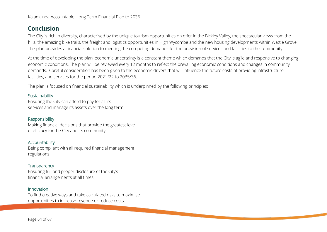### <span id="page-63-0"></span>**Conclusion**

The City is rich in diversity, characterised by the unique tourism opportunities on offer in the Bickley Valley, the spectacular views from the hills, the amazing bike trails, the freight and logistics opportunities in High Wycombe and the new housing developments within Wattle Grove. The plan provides a financial solution to meeting the competing demands for the provision of services and facilities to the community.

At the time of developing the plan, economic uncertainty is a constant theme which demands that the City is agile and responsive to changing economic conditions. The plan will be reviewed every 12 months to reflect the prevailing economic conditions and changes in community demands. Careful consideration has been given to the economic drivers that will influence the future costs of providing infrastructure, facilities, and services for the period 2021/22 to 2035/36.

The plan is focused on financial sustainability which is underpinned by the following principles:

#### Sustainability

Ensuring the City can afford to pay for all its services and manage its assets over the long term.

#### Responsibility

Making financial decisions that provide the greatest level of efficacy for the City and its community.

#### Accountability

Being compliant with all required financial management regulations.

#### **Transparency**

Ensuring full and proper disclosure of the City's financial arrangements at all times.

#### Innovation

To find creative ways and take calculated risks to maximise opportunities to increase revenue or reduce costs.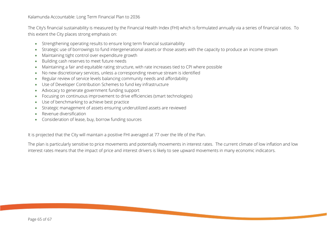The City's financial sustainability is measured by the Financial Health Index (FHI) which is formulated annually via a series of financial ratios. To this extent the City places strong emphasis on:

- Strengthening operating results to ensure long term financial sustainability
- Strategic use of borrowings to fund intergenerational assets or those assets with the capacity to produce an income stream
- Maintaining tight control over expenditure growth
- Building cash reserves to meet future needs
- Maintaining a fair and equitable rating structure, with rate increases tied to CPI where possible
- No new discretionary services, unless a corresponding revenue stream is identified
- Regular review of service levels balancing community needs and affordability
- Use of Developer Contribution Schemes to fund key infrastructure
- Advocacy to generate government funding support
- Focusing on continuous improvement to drive efficiencies (smart technologies)
- Use of benchmarking to achieve best practice
- Strategic management of assets ensuring underutilized assets are reviewed
- Revenue diversification
- Consideration of lease, buy, borrow funding sources

It is projected that the City will maintain a positive FHI averaged at 77 over the life of the Plan.

The plan is particularly sensitive to price movements and potentially movements in interest rates. The current climate of low inflation and low interest rates means that the impact of price and interest drivers is likely to see upward movements in many economic indicators.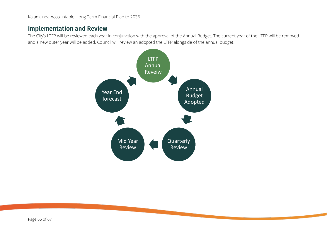### <span id="page-65-0"></span>**Implementation and Review**

The City's LTFP will be reviewed each year in conjunction with the approval of the Annual Budget. The current year of the LTFP will be removed and a new outer year will be added. Council will review an adopted the LTFP alongside of the annual budget.